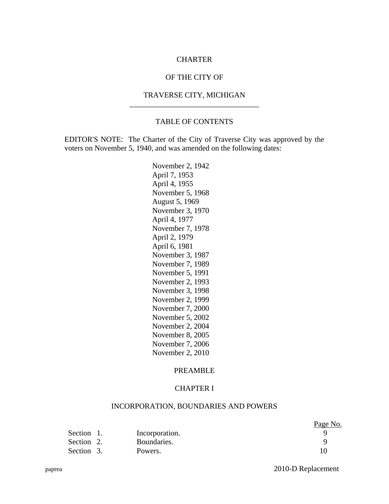## CHARTER

## OF THE CITY OF

## TRAVERSE CITY, MICHIGAN

 $\overline{\phantom{a}}$  ,  $\overline{\phantom{a}}$  ,  $\overline{\phantom{a}}$  ,  $\overline{\phantom{a}}$  ,  $\overline{\phantom{a}}$  ,  $\overline{\phantom{a}}$  ,  $\overline{\phantom{a}}$  ,  $\overline{\phantom{a}}$  ,  $\overline{\phantom{a}}$  ,  $\overline{\phantom{a}}$  ,  $\overline{\phantom{a}}$  ,  $\overline{\phantom{a}}$  ,  $\overline{\phantom{a}}$  ,  $\overline{\phantom{a}}$  ,  $\overline{\phantom{a}}$  ,  $\overline{\phantom{a}}$ 

### TABLE OF CONTENTS

EDITOR'S NOTE: The Charter of the City of Traverse City was approved by the voters on November 5, 1940, and was amended on the following dates:

> November 2, 1942 April 7, 1953 April 4, 1955 November 5, 1968 August 5, 1969 November 3, 1970 April 4, 1977 November 7, 1978 April 2, 1979 April 6, 1981 November 3, 1987 November 7, 1989 November 5, 1991 November 2, 1993 November 3, 1998 November 2, 1999 November 7, 2000 November 5, 2002 November 2, 2004 November 8, 2005 November 7, 2006 November 2, 2010

### PREAMBLE

### CHAPTER I

## INCORPORATION, BOUNDARIES AND POWERS

|            |                | Page No. |
|------------|----------------|----------|
| Section 1. | Incorporation. |          |
| Section 2. | Boundaries.    |          |
| Section 3. | Powers.        |          |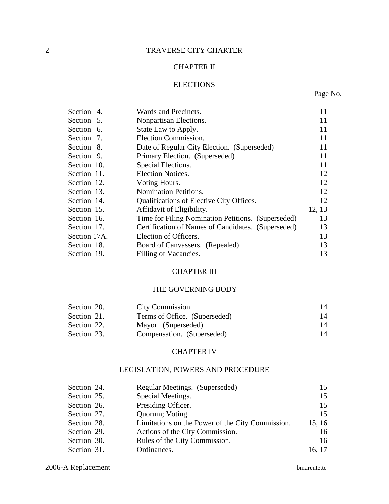## CHAPTER II

## **ELECTIONS**

## Page No.

| Section 4.   | Wards and Precincts.                               | 11     |
|--------------|----------------------------------------------------|--------|
| Section 5.   | Nonpartisan Elections.                             | 11     |
| Section 6.   | State Law to Apply.                                | 11     |
| Section 7.   | Election Commission.                               | 11     |
| Section 8.   | Date of Regular City Election. (Superseded)        | 11     |
| Section 9.   | Primary Election. (Superseded)                     | 11     |
| Section 10.  | Special Elections.                                 | 11     |
| Section 11.  | <b>Election Notices.</b>                           | 12     |
| Section 12.  | Voting Hours.                                      | 12     |
| Section 13.  | <b>Nomination Petitions.</b>                       | 12     |
| Section 14.  | Qualifications of Elective City Offices.           | 12     |
| Section 15.  | Affidavit of Eligibility.                          | 12, 13 |
| Section 16.  | Time for Filing Nomination Petitions. (Superseded) | 13     |
| Section 17.  | Certification of Names of Candidates. (Superseded) | 13     |
| Section 17A. | Election of Officers.                              | 13     |
| Section 18.  | Board of Canvassers. (Repealed)                    | 13     |
| Section 19.  | Filling of Vacancies.                              | 13     |

## CHAPTER III

### THE GOVERNING BODY

| Section 20. | City Commission.              | 14 |
|-------------|-------------------------------|----|
| Section 21. | Terms of Office. (Superseded) | 14 |
| Section 22. | Mayor. (Superseded)           | 14 |
| Section 23. | Compensation. (Superseded)    | 14 |

## CHAPTER IV

## LEGISLATION, POWERS AND PROCEDURE

| Section 24. | Regular Meetings. (Superseded)                   | 15     |
|-------------|--------------------------------------------------|--------|
| Section 25. | Special Meetings.                                | 15     |
| Section 26. | Presiding Officer.                               | 15     |
| Section 27. | Quorum; Voting.                                  | 15     |
| Section 28. | Limitations on the Power of the City Commission. | 15, 16 |
| Section 29. | Actions of the City Commission.                  | 16     |
| Section 30. | Rules of the City Commission.                    | 16     |
| Section 31. | Ordinances.                                      | 16, 17 |

## 2006-A Replacement bmarentette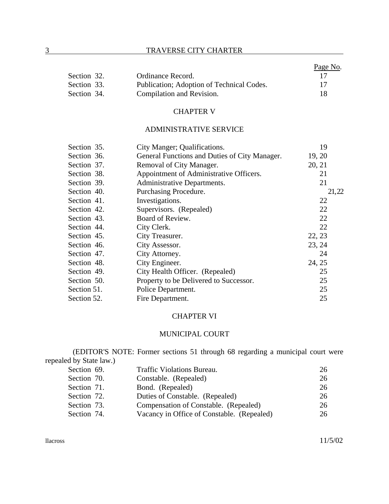## 3 TRAVERSE CITY CHARTER

|             |                                           | Page No. |
|-------------|-------------------------------------------|----------|
| Section 32. | Ordinance Record.                         |          |
| Section 33. | Publication; Adoption of Technical Codes. | 17       |
| Section 34. | Compilation and Revision.                 | 18       |

## CHAPTER V

## ADMINISTRATIVE SERVICE

| Section 35. | City Manger; Qualifications.                  |        | 19    |
|-------------|-----------------------------------------------|--------|-------|
| Section 36. | General Functions and Duties of City Manager. | 19, 20 |       |
| Section 37. | Removal of City Manager.                      | 20, 21 |       |
| Section 38. | Appointment of Administrative Officers.       |        | 21    |
| Section 39. | Administrative Departments.                   |        | 21    |
| Section 40. | Purchasing Procedure.                         |        | 21,22 |
| Section 41. | Investigations.                               |        | 22    |
| Section 42. | Supervisors. (Repealed)                       |        | 22    |
| Section 43. | Board of Review.                              |        | 22    |
| Section 44. | City Clerk.                                   |        | 22    |
| Section 45. | City Treasurer.                               | 22, 23 |       |
| Section 46. | City Assessor.                                | 23, 24 |       |
| Section 47. | City Attorney.                                |        | 24    |
| Section 48. | City Engineer.                                | 24, 25 |       |
| Section 49. | City Health Officer. (Repealed)               |        | 25    |
| Section 50. | Property to be Delivered to Successor.        |        | 25    |
| Section 51. | Police Department.                            |        | 25    |
| Section 52. | Fire Department.                              |        | 25    |

## CHAPTER VI

## MUNICIPAL COURT

(EDITOR'S NOTE: Former sections 51 through 68 regarding a municipal court were repealed by State law.)<br>Section 69. Traffic Violations Bureau. 26

| Section 70. | Constable. (Repealed)                      | 26 |
|-------------|--------------------------------------------|----|
| Section 71. | Bond. (Repealed)                           | 26 |
| Section 72. | Duties of Constable. (Repealed)            | 26 |
| Section 73. | Compensation of Constable. (Repealed)      | 26 |
| Section 74. | Vacancy in Office of Constable. (Repealed) | 26 |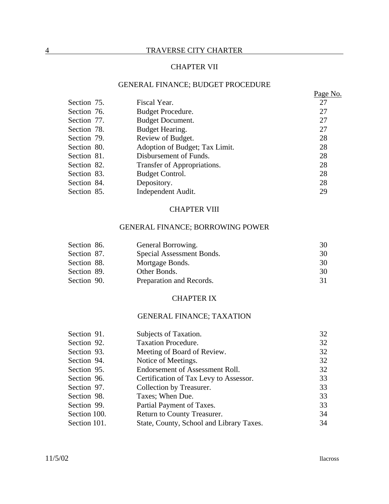## 4 TRAVERSE CITY CHARTER

## CHAPTER VII

## GENERAL FINANCE; BUDGET PROCEDURE

|             |                                | Page No. |
|-------------|--------------------------------|----------|
| Section 75. | Fiscal Year.                   | 27       |
| Section 76. | Budget Procedure.              | 27       |
| Section 77. | <b>Budget Document.</b>        | 27       |
| Section 78. | Budget Hearing.                | 27       |
| Section 79. | Review of Budget.              | 28       |
| Section 80. | Adoption of Budget; Tax Limit. | 28       |
| Section 81. | Disbursement of Funds.         | 28       |
| Section 82. | Transfer of Appropriations.    | 28       |
| Section 83. | Budget Control.                | 28       |
| Section 84. | Depository.                    | 28       |
| Section 85. | Independent Audit.             | 29       |

## CHAPTER VIII

## GENERAL FINANCE; BORROWING POWER

| Section 86. | General Borrowing.        | 30 |
|-------------|---------------------------|----|
| Section 87. | Special Assessment Bonds. | 30 |
| Section 88. | Mortgage Bonds.           | 30 |
| Section 89. | Other Bonds.              | 30 |
| Section 90. | Preparation and Records.  |    |

## CHAPTER IX

# GENERAL FINANCE; TAXATION

| Section 91.  | Subjects of Taxation.                    | 32 |
|--------------|------------------------------------------|----|
| Section 92.  | <b>Taxation Procedure.</b>               | 32 |
| Section 93.  | Meeting of Board of Review.              | 32 |
| Section 94.  | Notice of Meetings.                      | 32 |
| Section 95.  | Endorsement of Assessment Roll.          | 32 |
| Section 96.  | Certification of Tax Levy to Assessor.   | 33 |
| Section 97.  | Collection by Treasurer.                 | 33 |
| Section 98.  | Taxes; When Due.                         | 33 |
| Section 99.  | Partial Payment of Taxes.                | 33 |
| Section 100. | Return to County Treasurer.              | 34 |
| Section 101. | State, County, School and Library Taxes. | 34 |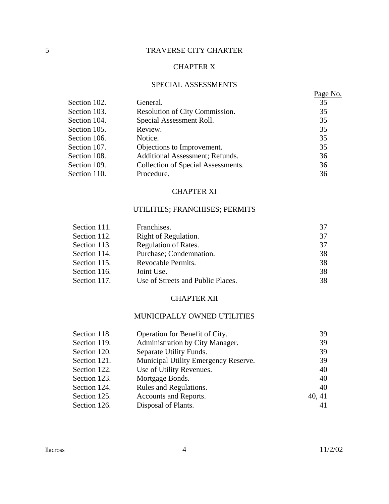# CHAPTER X

## SPECIAL ASSESSMENTS

|              |                                    | Page No. |
|--------------|------------------------------------|----------|
| Section 102. | General.                           | 35       |
| Section 103. | Resolution of City Commission.     | 35       |
| Section 104. | Special Assessment Roll.           | 35       |
| Section 105. | Review.                            | 35       |
| Section 106. | Notice.                            | 35       |
| Section 107. | Objections to Improvement.         | 35       |
| Section 108. | Additional Assessment; Refunds.    | 36       |
| Section 109. | Collection of Special Assessments. | 36       |
| Section 110. | Procedure.                         | 36       |

## CHAPTER XI

## UTILITIES; FRANCHISES; PERMITS

| Section 111. | Franchises.                       | 37 |
|--------------|-----------------------------------|----|
| Section 112. | Right of Regulation.              | 37 |
| Section 113. | Regulation of Rates.              | 37 |
| Section 114. | Purchase; Condemnation.           | 38 |
| Section 115. | Revocable Permits.                | 38 |
| Section 116. | Joint Use.                        | 38 |
| Section 117. | Use of Streets and Public Places. | 38 |

## CHAPTER XII

# MUNICIPALLY OWNED UTILITIES

| Section 118. | Operation for Benefit of City.       | 39     |
|--------------|--------------------------------------|--------|
| Section 119. | Administration by City Manager.      | 39     |
| Section 120. | Separate Utility Funds.              | 39     |
| Section 121. | Municipal Utility Emergency Reserve. | 39     |
| Section 122. | Use of Utility Revenues.             | 40     |
| Section 123. | Mortgage Bonds.                      | 40     |
| Section 124. | Rules and Regulations.               | 40     |
| Section 125. | Accounts and Reports.                | 40, 41 |
| Section 126. | Disposal of Plants.                  | 41     |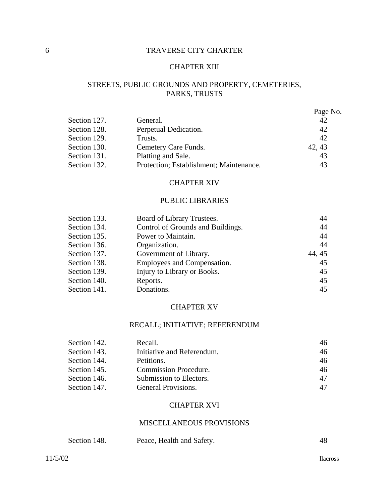## 6 TRAVERSE CITY CHARTER

## CHAPTER XIII

# STREETS, PUBLIC GROUNDS AND PROPERTY, CEMETERIES, PARKS, TRUSTS

|              |                                         | Page No. |
|--------------|-----------------------------------------|----------|
| Section 127. | General.                                | 42       |
| Section 128. | Perpetual Dedication.                   | 42       |
| Section 129. | Trusts.                                 | 42       |
| Section 130. | Cemetery Care Funds.                    | 42, 43   |
| Section 131. | Platting and Sale.                      | 43       |
| Section 132. | Protection; Establishment; Maintenance. | 43       |

## CHAPTER XIV

## PUBLIC LIBRARIES

| Section 133. | Board of Library Trustees.        | 44     |
|--------------|-----------------------------------|--------|
| Section 134. | Control of Grounds and Buildings. | 44     |
| Section 135. | Power to Maintain.                | 44     |
| Section 136. | Organization.                     | 44     |
| Section 137. | Government of Library.            | 44, 45 |
| Section 138. | Employees and Compensation.       | 45     |
| Section 139. | Injury to Library or Books.       | 45     |
| Section 140. | Reports.                          | 45     |
| Section 141. | Donations.                        | 45     |

#### CHAPTER XV

#### RECALL; INITIATIVE; REFERENDUM

| Section 142. | Recall.                      | 46 |
|--------------|------------------------------|----|
| Section 143. | Initiative and Referendum.   | 46 |
| Section 144. | Petitions.                   | 46 |
| Section 145. | <b>Commission Procedure.</b> | 46 |
| Section 146. | Submission to Electors.      | 47 |
| Section 147. | General Provisions.          | 47 |

### CHAPTER XVI

### MISCELLANEOUS PROVISIONS

| Section 148. | Peace, Health and Safety. |  |
|--------------|---------------------------|--|
|              |                           |  |

11/5/02 llacross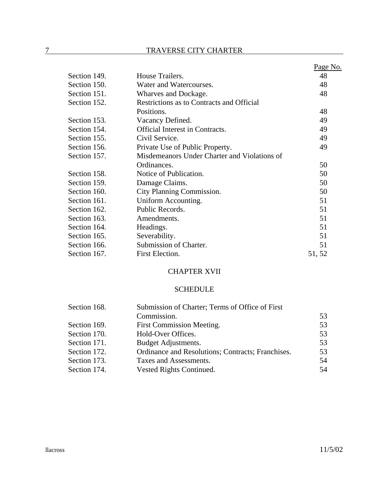|              |                                              | Page No. |
|--------------|----------------------------------------------|----------|
| Section 149. | House Trailers.                              | 48       |
| Section 150. | Water and Watercourses.                      | 48       |
| Section 151. | Wharves and Dockage.                         | 48       |
| Section 152. | Restrictions as to Contracts and Official    |          |
|              | Positions.                                   | 48       |
| Section 153. | Vacancy Defined.                             | 49       |
| Section 154. | <b>Official Interest in Contracts.</b>       | 49       |
| Section 155. | Civil Service.                               | 49       |
| Section 156. | Private Use of Public Property.              | 49       |
| Section 157. | Misdemeanors Under Charter and Violations of |          |
|              | Ordinances.                                  | 50       |
| Section 158. | Notice of Publication.                       | 50       |
| Section 159. | Damage Claims.                               | 50       |
| Section 160. | City Planning Commission.                    | 50       |
| Section 161. | Uniform Accounting.                          | 51       |
| Section 162. | Public Records.                              | 51       |
| Section 163. | Amendments.                                  | 51       |
| Section 164. | Headings.                                    | 51       |
| Section 165. | Severability.                                | 51       |
| Section 166. | Submission of Charter.                       | 51       |
| Section 167. | First Election.                              | 51, 52   |

## CHAPTER XVII

## SCHEDULE

| Section 168. | Submission of Charter; Terms of Office of First   |    |  |
|--------------|---------------------------------------------------|----|--|
|              | Commission.                                       | 53 |  |
| Section 169. | First Commission Meeting.                         | 53 |  |
| Section 170. | Hold-Over Offices.                                | 53 |  |
| Section 171. | Budget Adjustments.                               | 53 |  |
| Section 172. | Ordinance and Resolutions; Contracts; Franchises. | 53 |  |
| Section 173. | Taxes and Assessments.                            | 54 |  |
| Section 174. | Vested Rights Continued.                          | 54 |  |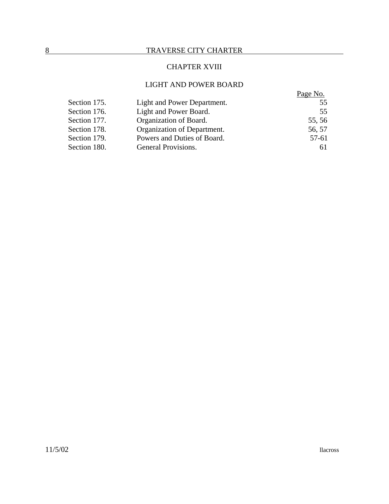## CHAPTER XVIII

## LIGHT AND POWER BOARD

|              |                             | Page No. |
|--------------|-----------------------------|----------|
| Section 175. | Light and Power Department. | 55       |
| Section 176. | Light and Power Board.      | 55       |
| Section 177. | Organization of Board.      | 55, 56   |
| Section 178. | Organization of Department. | 56, 57   |
| Section 179. | Powers and Duties of Board. | 57-61    |
| Section 180. | General Provisions.         | 6 I      |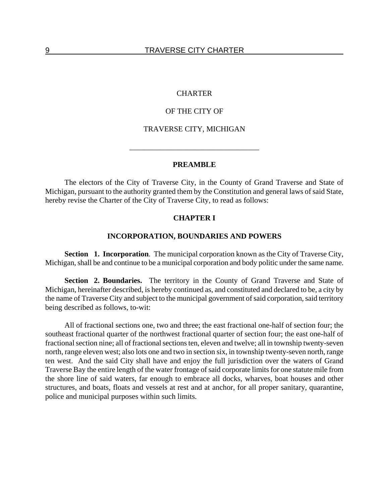### **CHARTER**

### OF THE CITY OF

## TRAVERSE CITY, MICHIGAN

 $\overline{\phantom{a}}$  ,  $\overline{\phantom{a}}$  ,  $\overline{\phantom{a}}$  ,  $\overline{\phantom{a}}$  ,  $\overline{\phantom{a}}$  ,  $\overline{\phantom{a}}$  ,  $\overline{\phantom{a}}$  ,  $\overline{\phantom{a}}$  ,  $\overline{\phantom{a}}$  ,  $\overline{\phantom{a}}$  ,  $\overline{\phantom{a}}$  ,  $\overline{\phantom{a}}$  ,  $\overline{\phantom{a}}$  ,  $\overline{\phantom{a}}$  ,  $\overline{\phantom{a}}$  ,  $\overline{\phantom{a}}$ 

### **PREAMBLE**

The electors of the City of Traverse City, in the County of Grand Traverse and State of Michigan, pursuant to the authority granted them by the Constitution and general laws of said State, hereby revise the Charter of the City of Traverse City, to read as follows:

## **CHAPTER I**

### **INCORPORATION, BOUNDARIES AND POWERS**

**Section 1. Incorporation**. The municipal corporation known as the City of Traverse City, Michigan, shall be and continue to be a municipal corporation and body politic under the same name.

**Section 2. Boundaries.** The territory in the County of Grand Traverse and State of Michigan, hereinafter described, is hereby continued as, and constituted and declared to be, a city by the name of Traverse City and subject to the municipal government of said corporation, said territory being described as follows, to-wit:

All of fractional sections one, two and three; the east fractional one-half of section four; the southeast fractional quarter of the northwest fractional quarter of section four; the east one-half of fractional section nine; all of fractional sections ten, eleven and twelve; all in township twenty-seven north, range eleven west; also lots one and two in section six, in township twenty-seven north, range ten west. And the said City shall have and enjoy the full jurisdiction over the waters of Grand Traverse Bay the entire length of the water frontage of said corporate limits for one statute mile from the shore line of said waters, far enough to embrace all docks, wharves, boat houses and other structures, and boats, floats and vessels at rest and at anchor, for all proper sanitary, quarantine, police and municipal purposes within such limits.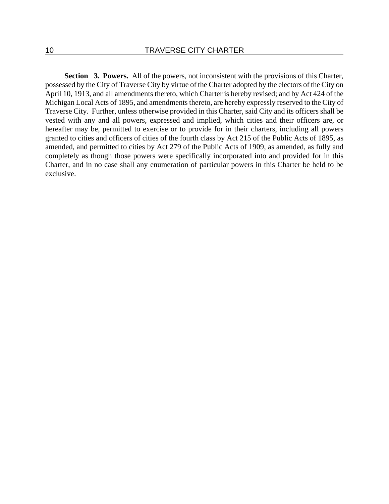**Section 3. Powers.** All of the powers, not inconsistent with the provisions of this Charter, possessed by the City of Traverse City by virtue of the Charter adopted by the electors of the City on April 10, 1913, and all amendments thereto, which Charter is hereby revised; and by Act 424 of the Michigan Local Acts of 1895, and amendments thereto, are hereby expressly reserved to the City of Traverse City. Further, unless otherwise provided in this Charter, said City and its officers shall be vested with any and all powers, expressed and implied, which cities and their officers are, or hereafter may be, permitted to exercise or to provide for in their charters, including all powers granted to cities and officers of cities of the fourth class by Act 215 of the Public Acts of 1895, as amended, and permitted to cities by Act 279 of the Public Acts of 1909, as amended, as fully and completely as though those powers were specifically incorporated into and provided for in this Charter, and in no case shall any enumeration of particular powers in this Charter be held to be exclusive.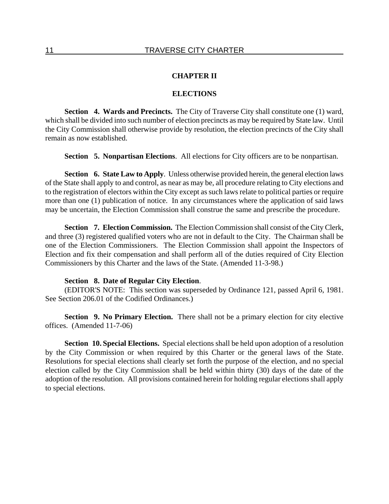## **CHAPTER II**

### **ELECTIONS**

**Section 4. Wards and Precincts.** The City of Traverse City shall constitute one (1) ward, which shall be divided into such number of election precincts as may be required by State law. Until the City Commission shall otherwise provide by resolution, the election precincts of the City shall remain as now established.

**Section 5. Nonpartisan Elections**. All elections for City officers are to be nonpartisan.

**Section 6. State Law to Apply.** Unless otherwise provided herein, the general election laws of the State shall apply to and control, as near as may be, all procedure relating to City elections and to the registration of electors within the City except as such laws relate to political parties or require more than one (1) publication of notice. In any circumstances where the application of said laws may be uncertain, the Election Commission shall construe the same and prescribe the procedure.

**Section 7. Election Commission.** The Election Commission shall consist of the City Clerk, and three (3) registered qualified voters who are not in default to the City. The Chairman shall be one of the Election Commissioners. The Election Commission shall appoint the Inspectors of Election and fix their compensation and shall perform all of the duties required of City Election Commissioners by this Charter and the laws of the State. (Amended 11-3-98.)

## **Section 8. Date of Regular City Election**.

(EDITOR'S NOTE: This section was superseded by Ordinance 121, passed April 6, 1981. See Section 206.01 of the Codified Ordinances.)

**Section 9. No Primary Election.** There shall not be a primary election for city elective offices. (Amended 11-7-06)

**Section 10. Special Elections.** Special elections shall be held upon adoption of a resolution by the City Commission or when required by this Charter or the general laws of the State. Resolutions for special elections shall clearly set forth the purpose of the election, and no special election called by the City Commission shall be held within thirty (30) days of the date of the adoption of the resolution. All provisions contained herein for holding regular elections shall apply to special elections.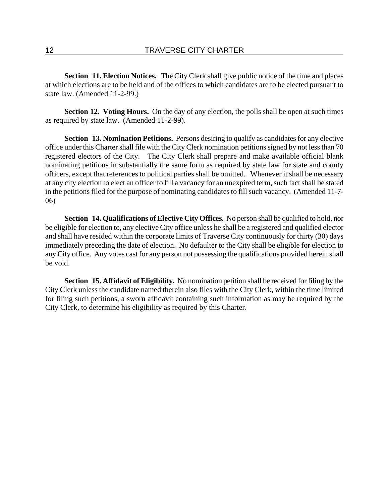**Section 11. Election Notices.** The City Clerk shall give public notice of the time and places at which elections are to be held and of the offices to which candidates are to be elected pursuant to state law. (Amended 11-2-99.)

**Section 12. Voting Hours.** On the day of any election, the polls shall be open at such times as required by state law. (Amended 11-2-99).

**Section 13. Nomination Petitions.** Persons desiring to qualify as candidates for any elective office under this Charter shall file with the City Clerk nomination petitions signed by not less than 70 registered electors of the City. The City Clerk shall prepare and make available official blank nominating petitions in substantially the same form as required by state law for state and county officers, except that references to political parties shall be omitted. Whenever it shall be necessary at any city election to elect an officer to fill a vacancy for an unexpired term, such fact shall be stated in the petitions filed for the purpose of nominating candidates to fill such vacancy. (Amended 11-7- 06)

**Section 14. Qualifications of Elective City Offices.** No person shall be qualified to hold, nor be eligible for election to, any elective City office unless he shall be a registered and qualified elector and shall have resided within the corporate limits of Traverse City continuously for thirty (30) days immediately preceding the date of election. No defaulter to the City shall be eligible for election to any City office. Any votes cast for any person not possessing the qualifications provided herein shall be void.

**Section 15. Affidavit of Eligibility.** No nomination petition shall be received for filing by the City Clerk unless the candidate named therein also files with the City Clerk, within the time limited for filing such petitions, a sworn affidavit containing such information as may be required by the City Clerk, to determine his eligibility as required by this Charter.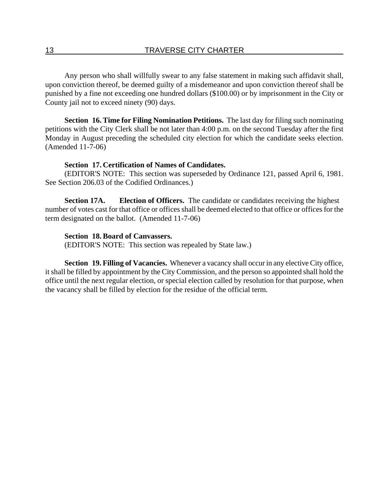Any person who shall willfully swear to any false statement in making such affidavit shall, upon conviction thereof, be deemed guilty of a misdemeanor and upon conviction thereof shall be punished by a fine not exceeding one hundred dollars (\$100.00) or by imprisonment in the City or County jail not to exceed ninety (90) days.

**Section 16. Time for Filing Nomination Petitions.** The last day for filing such nominating petitions with the City Clerk shall be not later than 4:00 p.m. on the second Tuesday after the first Monday in August preceding the scheduled city election for which the candidate seeks election. (Amended 11-7-06)

## **Section 17. Certification of Names of Candidates.**

(EDITOR'S NOTE: This section was superseded by Ordinance 121, passed April 6, 1981. See Section 206.03 of the Codified Ordinances.)

**Section 17A.** Election of Officers. The candidate or candidates receiving the highest number of votes cast for that office or offices shall be deemed elected to that office or offices for the term designated on the ballot. (Amended 11-7-06)

## **Section 18. Board of Canvassers.**

(EDITOR'S NOTE: This section was repealed by State law.)

**Section 19. Filling of Vacancies.** Whenever a vacancy shall occur in any elective City office, it shall be filled by appointment by the City Commission, and the person so appointed shall hold the office until the next regular election, or special election called by resolution for that purpose, when the vacancy shall be filled by election for the residue of the official term.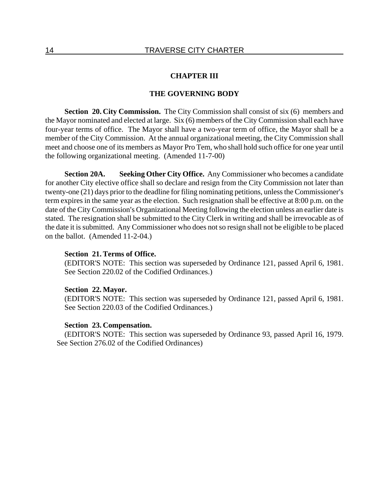### **CHAPTER III**

### **THE GOVERNING BODY**

**Section 20. City Commission.** The City Commission shall consist of six (6) members and the Mayor nominated and elected at large. Six (6) members of the City Commission shall each have four-year terms of office. The Mayor shall have a two-year term of office, the Mayor shall be a member of the City Commission. At the annual organizational meeting, the City Commission shall meet and choose one of its members as Mayor Pro Tem, who shall hold such office for one year until the following organizational meeting. (Amended 11-7-00)

**Section 20A. Seeking Other City Office.** Any Commissioner who becomes a candidate for another City elective office shall so declare and resign from the City Commission not later than twenty-one (21) days prior to the deadline for filing nominating petitions, unless the Commissioner's term expires in the same year as the election. Such resignation shall be effective at 8:00 p.m. on the date of the City Commission's Organizational Meeting following the election unless an earlier date is stated. The resignation shall be submitted to the City Clerk in writing and shall be irrevocable as of the date it is submitted. Any Commissioner who does not so resign shall not be eligible to be placed on the ballot. (Amended 11-2-04.)

### **Section 21. Terms of Office.**

(EDITOR'S NOTE: This section was superseded by Ordinance 121, passed April 6, 1981. See Section 220.02 of the Codified Ordinances.)

#### **Section 22. Mayor.**

(EDITOR'S NOTE: This section was superseded by Ordinance 121, passed April 6, 1981. See Section 220.03 of the Codified Ordinances.)

### **Section 23. Compensation.**

(EDITOR'S NOTE: This section was superseded by Ordinance 93, passed April 16, 1979. See Section 276.02 of the Codified Ordinances)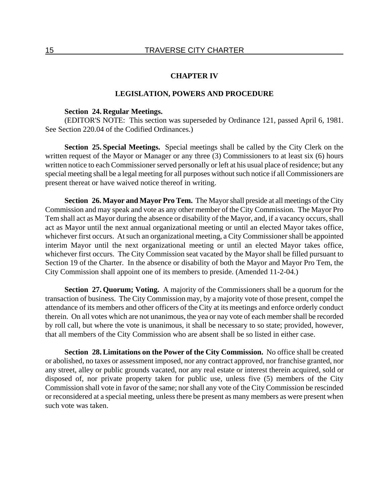#### **CHAPTER IV**

### **LEGISLATION, POWERS AND PROCEDURE**

### **Section 24. Regular Meetings.**

(EDITOR'S NOTE: This section was superseded by Ordinance 121, passed April 6, 1981. See Section 220.04 of the Codified Ordinances.)

**Section 25. Special Meetings.** Special meetings shall be called by the City Clerk on the written request of the Mayor or Manager or any three (3) Commissioners to at least six (6) hours written notice to each Commissioner served personally or left at his usual place of residence; but any special meeting shall be a legal meeting for all purposes without such notice if all Commissioners are present thereat or have waived notice thereof in writing.

**Section 26. Mayor and Mayor Pro Tem.** The Mayor shall preside at all meetings of the City Commission and may speak and vote as any other member of the City Commission. The Mayor Pro Tem shall act as Mayor during the absence or disability of the Mayor, and, if a vacancy occurs, shall act as Mayor until the next annual organizational meeting or until an elected Mayor takes office, whichever first occurs. At such an organizational meeting, a City Commissioner shall be appointed interim Mayor until the next organizational meeting or until an elected Mayor takes office, whichever first occurs. The City Commission seat vacated by the Mayor shall be filled pursuant to Section 19 of the Charter. In the absence or disability of both the Mayor and Mayor Pro Tem, the City Commission shall appoint one of its members to preside. (Amended 11-2-04.)

**Section 27. Quorum; Voting.** A majority of the Commissioners shall be a quorum for the transaction of business. The City Commission may, by a majority vote of those present, compel the attendance of its members and other officers of the City at its meetings and enforce orderly conduct therein. On all votes which are not unanimous, the yea or nay vote of each member shall be recorded by roll call, but where the vote is unanimous, it shall be necessary to so state; provided, however, that all members of the City Commission who are absent shall be so listed in either case.

**Section 28. Limitations on the Power of the City Commission.** No office shall be created or abolished, no taxes or assessment imposed, nor any contract approved, nor franchise granted, nor any street, alley or public grounds vacated, nor any real estate or interest therein acquired, sold or disposed of, nor private property taken for public use, unless five (5) members of the City Commission shall vote in favor of the same; nor shall any vote of the City Commission be rescinded or reconsidered at a special meeting, unless there be present as many members as were present when such vote was taken.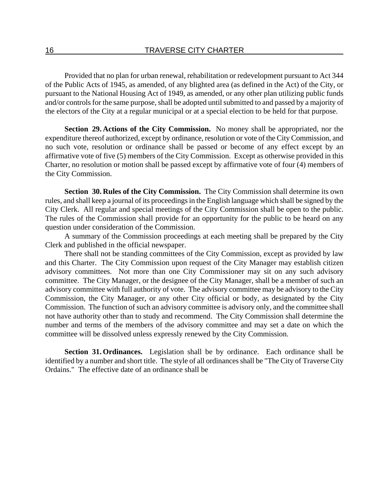Provided that no plan for urban renewal, rehabilitation or redevelopment pursuant to Act 344 of the Public Acts of 1945, as amended, of any blighted area (as defined in the Act) of the City, or pursuant to the National Housing Act of 1949, as amended, or any other plan utilizing public funds and/or controls for the same purpose, shall be adopted until submitted to and passed by a majority of the electors of the City at a regular municipal or at a special election to be held for that purpose.

**Section 29. Actions of the City Commission.** No money shall be appropriated, nor the expenditure thereof authorized, except by ordinance, resolution or vote of the City Commission, and no such vote, resolution or ordinance shall be passed or become of any effect except by an affirmative vote of five (5) members of the City Commission. Except as otherwise provided in this Charter, no resolution or motion shall be passed except by affirmative vote of four (4) members of the City Commission.

**Section 30. Rules of the City Commission.** The City Commission shall determine its own rules, and shall keep a journal of its proceedings in the English language which shall be signed by the City Clerk. All regular and special meetings of the City Commission shall be open to the public. The rules of the Commission shall provide for an opportunity for the public to be heard on any question under consideration of the Commission.

A summary of the Commission proceedings at each meeting shall be prepared by the City Clerk and published in the official newspaper.

There shall not be standing committees of the City Commission, except as provided by law and this Charter. The City Commission upon request of the City Manager may establish citizen advisory committees. Not more than one City Commissioner may sit on any such advisory committee. The City Manager, or the designee of the City Manager, shall be a member of such an advisory committee with full authority of vote. The advisory committee may be advisory to the City Commission, the City Manager, or any other City official or body, as designated by the City Commission. The function of such an advisory committee is advisory only, and the committee shall not have authority other than to study and recommend. The City Commission shall determine the number and terms of the members of the advisory committee and may set a date on which the committee will be dissolved unless expressly renewed by the City Commission.

**Section 31. Ordinances.** Legislation shall be by ordinance. Each ordinance shall be identified by a number and short title. The style of all ordinances shall be "The City of Traverse City Ordains." The effective date of an ordinance shall be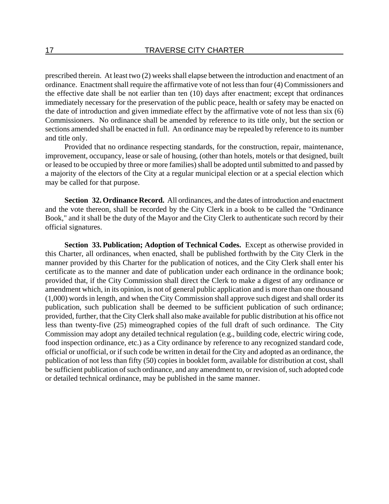prescribed therein. At least two (2) weeks shall elapse between the introduction and enactment of an ordinance. Enactment shall require the affirmative vote of not less than four (4) Commissioners and the effective date shall be not earlier than ten (10) days after enactment; except that ordinances immediately necessary for the preservation of the public peace, health or safety may be enacted on the date of introduction and given immediate effect by the affirmative vote of not less than six (6) Commissioners. No ordinance shall be amended by reference to its title only, but the section or sections amended shall be enacted in full. An ordinance may be repealed by reference to its number and title only.

Provided that no ordinance respecting standards, for the construction, repair, maintenance, improvement, occupancy, lease or sale of housing, (other than hotels, motels or that designed, built or leased to be occupied by three or more families) shall be adopted until submitted to and passed by a majority of the electors of the City at a regular municipal election or at a special election which may be called for that purpose.

**Section 32. Ordinance Record.** All ordinances, and the dates of introduction and enactment and the vote thereon, shall be recorded by the City Clerk in a book to be called the "Ordinance Book," and it shall be the duty of the Mayor and the City Clerk to authenticate such record by their official signatures.

**Section 33. Publication; Adoption of Technical Codes.** Except as otherwise provided in this Charter, all ordinances, when enacted, shall be published forthwith by the City Clerk in the manner provided by this Charter for the publication of notices, and the City Clerk shall enter his certificate as to the manner and date of publication under each ordinance in the ordinance book; provided that, if the City Commission shall direct the Clerk to make a digest of any ordinance or amendment which, in its opinion, is not of general public application and is more than one thousand (1,000) words in length, and when the City Commission shall approve such digest and shall order its publication, such publication shall be deemed to be sufficient publication of such ordinance; provided, further, that the City Clerk shall also make available for public distribution at his office not less than twenty-five (25) mimeographed copies of the full draft of such ordinance. The City Commission may adopt any detailed technical regulation (e.g., building code, electric wiring code, food inspection ordinance, etc.) as a City ordinance by reference to any recognized standard code, official or unofficial, or if such code be written in detail for the City and adopted as an ordinance, the publication of not less than fifty (50) copies in booklet form, available for distribution at cost, shall be sufficient publication of such ordinance, and any amendment to, or revision of, such adopted code or detailed technical ordinance, may be published in the same manner.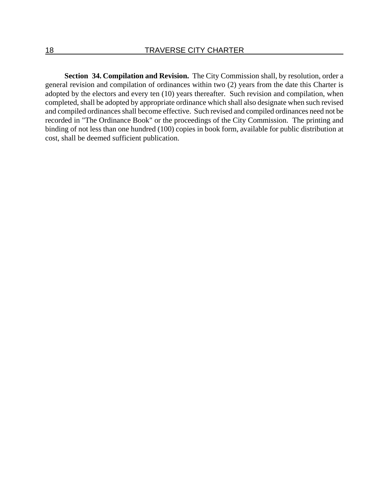**Section 34. Compilation and Revision.** The City Commission shall, by resolution, order a general revision and compilation of ordinances within two (2) years from the date this Charter is adopted by the electors and every ten (10) years thereafter. Such revision and compilation, when completed, shall be adopted by appropriate ordinance which shall also designate when such revised and compiled ordinances shall become effective. Such revised and compiled ordinances need not be recorded in "The Ordinance Book" or the proceedings of the City Commission. The printing and binding of not less than one hundred (100) copies in book form, available for public distribution at cost, shall be deemed sufficient publication.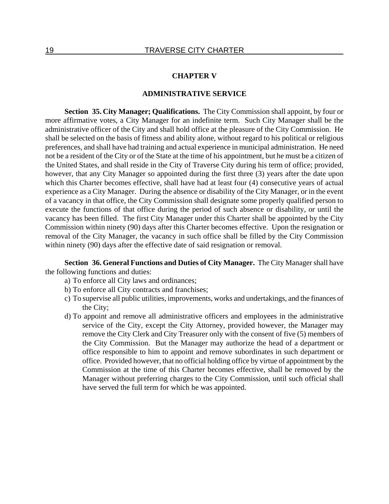### **CHAPTER V**

### **ADMINISTRATIVE SERVICE**

**Section 35. City Manager; Qualifications.** The City Commission shall appoint, by four or more affirmative votes, a City Manager for an indefinite term. Such City Manager shall be the administrative officer of the City and shall hold office at the pleasure of the City Commission. He shall be selected on the basis of fitness and ability alone, without regard to his political or religious preferences, and shall have had training and actual experience in municipal administration. He need not be a resident of the City or of the State at the time of his appointment, but he must be a citizen of the United States, and shall reside in the City of Traverse City during his term of office; provided, however, that any City Manager so appointed during the first three (3) years after the date upon which this Charter becomes effective, shall have had at least four (4) consecutive years of actual experience as a City Manager. During the absence or disability of the City Manager, or in the event of a vacancy in that office, the City Commission shall designate some properly qualified person to execute the functions of that office during the period of such absence or disability, or until the vacancy has been filled. The first City Manager under this Charter shall be appointed by the City Commission within ninety (90) days after this Charter becomes effective. Upon the resignation or removal of the City Manager, the vacancy in such office shall be filled by the City Commission within ninety (90) days after the effective date of said resignation or removal.

**Section 36. General Functions and Duties of City Manager.** The City Manager shall have the following functions and duties:

- a) To enforce all City laws and ordinances;
- b) To enforce all City contracts and franchises;
- c) To supervise all public utilities, improvements, works and undertakings, and the finances of the City;
- d) To appoint and remove all administrative officers and employees in the administrative service of the City, except the City Attorney, provided however, the Manager may remove the City Clerk and City Treasurer only with the consent of five (5) members of the City Commission. But the Manager may authorize the head of a department or office responsible to him to appoint and remove subordinates in such department or office. Provided however, that no official holding office by virtue of appointment by the Commission at the time of this Charter becomes effective, shall be removed by the Manager without preferring charges to the City Commission, until such official shall have served the full term for which he was appointed.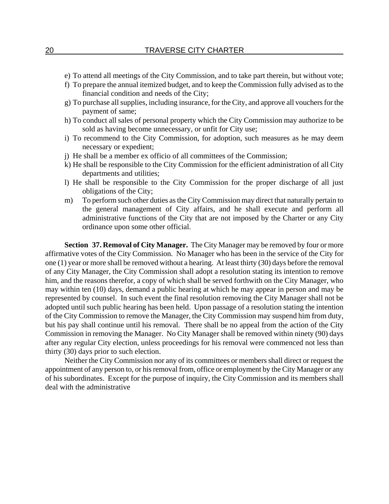- e) To attend all meetings of the City Commission, and to take part therein, but without vote;
- f) To prepare the annual itemized budget, and to keep the Commission fully advised as to the financial condition and needs of the City;
- g) To purchase all supplies, including insurance, for the City, and approve all vouchers for the payment of same;
- h) To conduct all sales of personal property which the City Commission may authorize to be sold as having become unnecessary, or unfit for City use;
- i) To recommend to the City Commission, for adoption, such measures as he may deem necessary or expedient;
- j) He shall be a member ex officio of all committees of the Commission;
- k) He shall be responsible to the City Commission for the efficient administration of all City departments and utilities;
- l) He shall be responsible to the City Commission for the proper discharge of all just obligations of the City;
- m) To perform such other duties as the City Commission may direct that naturally pertain to the general management of City affairs, and he shall execute and perform all administrative functions of the City that are not imposed by the Charter or any City ordinance upon some other official.

**Section 37. Removal of City Manager.** The City Manager may be removed by four or more affirmative votes of the City Commission. No Manager who has been in the service of the City for one (1) year or more shall be removed without a hearing. At least thirty (30) days before the removal of any City Manager, the City Commission shall adopt a resolution stating its intention to remove him, and the reasons therefor, a copy of which shall be served forthwith on the City Manager, who may within ten (10) days, demand a public hearing at which he may appear in person and may be represented by counsel. In such event the final resolution removing the City Manager shall not be adopted until such public hearing has been held. Upon passage of a resolution stating the intention of the City Commission to remove the Manager, the City Commission may suspend him from duty, but his pay shall continue until his removal. There shall be no appeal from the action of the City Commission in removing the Manager. No City Manager shall be removed within ninety (90) days after any regular City election, unless proceedings for his removal were commenced not less than thirty (30) days prior to such election.

Neither the City Commission nor any of its committees or members shall direct or request the appointment of any person to, or his removal from, office or employment by the City Manager or any of his subordinates. Except for the purpose of inquiry, the City Commission and its members shall deal with the administrative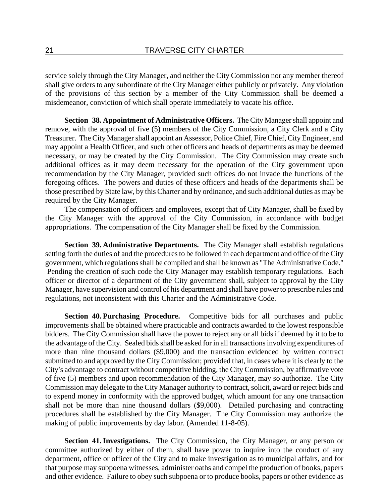service solely through the City Manager, and neither the City Commission nor any member thereof shall give orders to any subordinate of the City Manager either publicly or privately. Any violation of the provisions of this section by a member of the City Commission shall be deemed a misdemeanor, conviction of which shall operate immediately to vacate his office.

**Section 38. Appointment of Administrative Officers.** The City Manager shall appoint and remove, with the approval of five (5) members of the City Commission, a City Clerk and a City Treasurer. The City Manager shall appoint an Assessor, Police Chief, Fire Chief, City Engineer, and may appoint a Health Officer, and such other officers and heads of departments as may be deemed necessary, or may be created by the City Commission. The City Commission may create such additional offices as it may deem necessary for the operation of the City government upon recommendation by the City Manager, provided such offices do not invade the functions of the foregoing offices. The powers and duties of these officers and heads of the departments shall be those prescribed by State law, by this Charter and by ordinance, and such additional duties as may be required by the City Manager.

The compensation of officers and employees, except that of City Manager, shall be fixed by the City Manager with the approval of the City Commission, in accordance with budget appropriations. The compensation of the City Manager shall be fixed by the Commission.

**Section 39. Administrative Departments.** The City Manager shall establish regulations setting forth the duties of and the procedures to be followed in each department and office of the City government, which regulations shall be compiled and shall be known as "The Administrative Code." Pending the creation of such code the City Manager may establish temporary regulations. Each officer or director of a department of the City government shall, subject to approval by the City Manager, have supervision and control of his department and shall have power to prescribe rules and regulations, not inconsistent with this Charter and the Administrative Code.

**Section 40. Purchasing Procedure.** Competitive bids for all purchases and public improvements shall be obtained where practicable and contracts awarded to the lowest responsible bidders. The City Commission shall have the power to reject any or all bids if deemed by it to be to the advantage of the City. Sealed bids shall be asked for in all transactions involving expenditures of more than nine thousand dollars (\$9,000) and the transaction evidenced by written contract submitted to and approved by the City Commission; provided that, in cases where it is clearly to the City's advantage to contract without competitive bidding, the City Commission, by affirmative vote of five (5) members and upon recommendation of the City Manager, may so authorize. The City Commission may delegate to the City Manager authority to contract, solicit, award or reject bids and to expend money in conformity with the approved budget, which amount for any one transaction shall not be more than nine thousand dollars (\$9,000). Detailed purchasing and contracting procedures shall be established by the City Manager. The City Commission may authorize the making of public improvements by day labor. (Amended 11-8-05).

**Section 41. Investigations.** The City Commission, the City Manager, or any person or committee authorized by either of them, shall have power to inquire into the conduct of any department, office or officer of the City and to make investigation as to municipal affairs, and for that purpose may subpoena witnesses, administer oaths and compel the production of books, papers and other evidence. Failure to obey such subpoena or to produce books, papers or other evidence as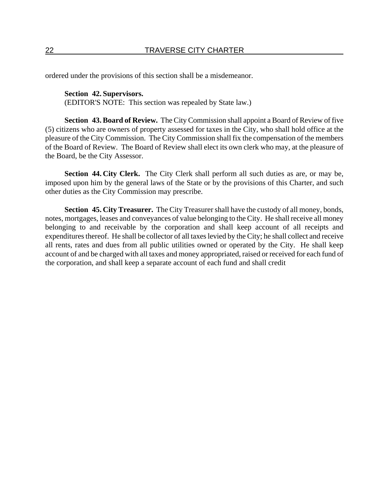ordered under the provisions of this section shall be a misdemeanor.

## **Section 42. Supervisors.**

(EDITOR'S NOTE: This section was repealed by State law.)

**Section 43. Board of Review.** The City Commission shall appoint a Board of Review of five (5) citizens who are owners of property assessed for taxes in the City, who shall hold office at the pleasure of the City Commission. The City Commission shall fix the compensation of the members of the Board of Review. The Board of Review shall elect its own clerk who may, at the pleasure of the Board, be the City Assessor.

**Section 44. City Clerk.** The City Clerk shall perform all such duties as are, or may be, imposed upon him by the general laws of the State or by the provisions of this Charter, and such other duties as the City Commission may prescribe.

**Section 45. City Treasurer.** The City Treasurer shall have the custody of all money, bonds, notes, mortgages, leases and conveyances of value belonging to the City. He shall receive all money belonging to and receivable by the corporation and shall keep account of all receipts and expenditures thereof. He shall be collector of all taxes levied by the City; he shall collect and receive all rents, rates and dues from all public utilities owned or operated by the City. He shall keep account of and be charged with all taxes and money appropriated, raised or received for each fund of the corporation, and shall keep a separate account of each fund and shall credit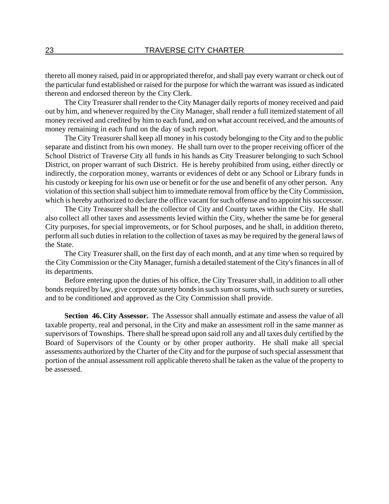thereto all money raised, paid in or appropriated therefor, and shall pay every warrant or check out of the particular fund established or raised for the purpose for which the warrant was issued as indicated thereon and endorsed thereon by the City Clerk.

The City Treasurer shall render to the City Manager daily reports of money received and paid out by him, and whenever required by the City Manager, shall render a full itemized statement of all money received and credited by him to each fund, and on what account received, and the amounts of money remaining in each fund on the day of such report.

The City Treasurer shall keep all money in his custody belonging to the City and to the public separate and distinct from his own money. He shall turn over to the proper receiving officer of the School District of Traverse City all funds in his hands as City Treasurer belonging to such School District, on proper warrant of such District. He is hereby prohibited from using, either directly or indirectly, the corporation money, warrants or evidences of debt or any School or Library funds in his custody or keeping for his own use or benefit or for the use and benefit of any other person. Any violation of this section shall subject him to immediate removal from office by the City Commission, which is hereby authorized to declare the office vacant for such offense and to appoint his successor.

The City Treasurer shall be the collector of City and County taxes within the City. He shall also collect all other taxes and assessments levied within the City, whether the same be for general City purposes, for special improvements, or for School purposes, and he shall, in addition thereto, perform all such duties in relation to the collection of taxes as may be required by the general laws of the State.

The City Treasurer shall, on the first day of each month, and at any time when so required by the City Commission or the City Manager, furnish a detailed statement of the City's finances in all of its departments.

Before entering upon the duties of his office, the City Treasurer shall, in addition to all other bonds required by law, give corporate surety bonds in such sum or sums, with such surety or sureties, and to be conditioned and approved as the City Commission shall provide.

**Section 46. City Assessor.** The Assessor shall annually estimate and assess the value of all taxable property, real and personal, in the City and make an assessment roll in the same manner as supervisors of Townships. There shall be spread upon said roll any and all taxes duly certified by the Board of Supervisors of the County or by other proper authority. He shall make all special assessments authorized by the Charter of the City and for the purpose of such special assessment that portion of the annual assessment roll applicable thereto shall be taken as the value of the property to be assessed.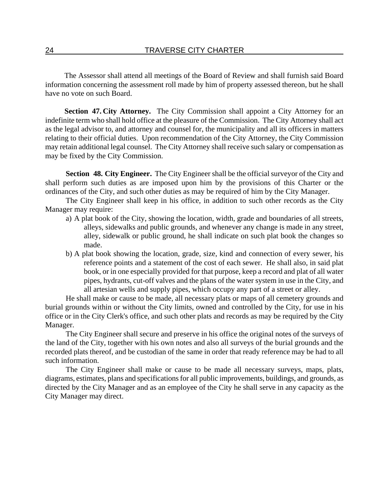The Assessor shall attend all meetings of the Board of Review and shall furnish said Board information concerning the assessment roll made by him of property assessed thereon, but he shall have no vote on such Board.

**Section 47. City Attorney.** The City Commission shall appoint a City Attorney for an indefinite term who shall hold office at the pleasure of the Commission. The City Attorney shall act as the legal advisor to, and attorney and counsel for, the municipality and all its officers in matters relating to their official duties. Upon recommendation of the City Attorney, the City Commission may retain additional legal counsel. The City Attorney shall receive such salary or compensation as may be fixed by the City Commission.

**Section 48. City Engineer.** The City Engineer shall be the official surveyor of the City and shall perform such duties as are imposed upon him by the provisions of this Charter or the ordinances of the City, and such other duties as may be required of him by the City Manager.

The City Engineer shall keep in his office, in addition to such other records as the City Manager may require:

- a) A plat book of the City, showing the location, width, grade and boundaries of all streets, alleys, sidewalks and public grounds, and whenever any change is made in any street, alley, sidewalk or public ground, he shall indicate on such plat book the changes so made.
- b) A plat book showing the location, grade, size, kind and connection of every sewer, his reference points and a statement of the cost of each sewer. He shall also, in said plat book, or in one especially provided for that purpose, keep a record and plat of all water pipes, hydrants, cut-off valves and the plans of the water system in use in the City, and all artesian wells and supply pipes, which occupy any part of a street or alley.

He shall make or cause to be made, all necessary plats or maps of all cemetery grounds and burial grounds within or without the City limits, owned and controlled by the City, for use in his office or in the City Clerk's office, and such other plats and records as may be required by the City Manager.

The City Engineer shall secure and preserve in his office the original notes of the surveys of the land of the City, together with his own notes and also all surveys of the burial grounds and the recorded plats thereof, and be custodian of the same in order that ready reference may be had to all such information.

The City Engineer shall make or cause to be made all necessary surveys, maps, plats, diagrams, estimates, plans and specifications for all public improvements, buildings, and grounds, as directed by the City Manager and as an employee of the City he shall serve in any capacity as the City Manager may direct.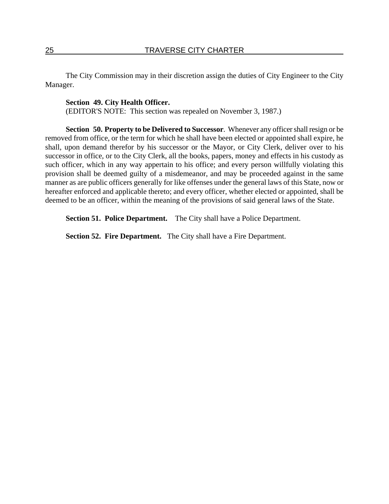The City Commission may in their discretion assign the duties of City Engineer to the City Manager.

## **Section 49. City Health Officer.**

(EDITOR'S NOTE: This section was repealed on November 3, 1987.)

**Section 50. Property to be Delivered to Successor**. Whenever any officer shall resign or be removed from office, or the term for which he shall have been elected or appointed shall expire, he shall, upon demand therefor by his successor or the Mayor, or City Clerk, deliver over to his successor in office, or to the City Clerk, all the books, papers, money and effects in his custody as such officer, which in any way appertain to his office; and every person willfully violating this provision shall be deemed guilty of a misdemeanor, and may be proceeded against in the same manner as are public officers generally for like offenses under the general laws of this State, now or hereafter enforced and applicable thereto; and every officer, whether elected or appointed, shall be deemed to be an officer, within the meaning of the provisions of said general laws of the State.

**Section 51. Police Department.** The City shall have a Police Department.

**Section 52. Fire Department.** The City shall have a Fire Department.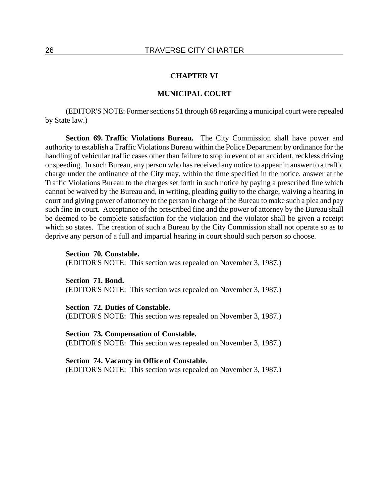#### **CHAPTER VI**

### **MUNICIPAL COURT**

(EDITOR'S NOTE: Former sections 51 through 68 regarding a municipal court were repealed by State law.)

**Section 69. Traffic Violations Bureau.** The City Commission shall have power and authority to establish a Traffic Violations Bureau within the Police Department by ordinance for the handling of vehicular traffic cases other than failure to stop in event of an accident, reckless driving or speeding. In such Bureau, any person who has received any notice to appear in answer to a traffic charge under the ordinance of the City may, within the time specified in the notice, answer at the Traffic Violations Bureau to the charges set forth in such notice by paying a prescribed fine which cannot be waived by the Bureau and, in writing, pleading guilty to the charge, waiving a hearing in court and giving power of attorney to the person in charge of the Bureau to make such a plea and pay such fine in court. Acceptance of the prescribed fine and the power of attorney by the Bureau shall be deemed to be complete satisfaction for the violation and the violator shall be given a receipt which so states. The creation of such a Bureau by the City Commission shall not operate so as to deprive any person of a full and impartial hearing in court should such person so choose.

**Section 70. Constable.** (EDITOR'S NOTE: This section was repealed on November 3, 1987.)

**Section 71. Bond.** (EDITOR'S NOTE: This section was repealed on November 3, 1987.)

#### **Section 72. Duties of Constable.**

(EDITOR'S NOTE: This section was repealed on November 3, 1987.)

## **Section 73. Compensation of Constable.**

(EDITOR'S NOTE: This section was repealed on November 3, 1987.)

#### **Section 74. Vacancy in Office of Constable.**

(EDITOR'S NOTE: This section was repealed on November 3, 1987.)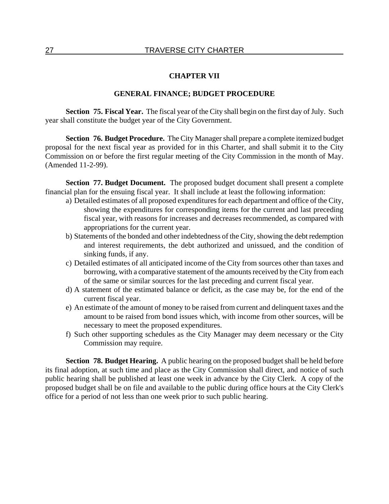### **CHAPTER VII**

## **GENERAL FINANCE; BUDGET PROCEDURE**

**Section 75. Fiscal Year.** The fiscal year of the City shall begin on the first day of July. Such year shall constitute the budget year of the City Government.

**Section 76. Budget Procedure.** The City Manager shall prepare a complete itemized budget proposal for the next fiscal year as provided for in this Charter, and shall submit it to the City Commission on or before the first regular meeting of the City Commission in the month of May. (Amended 11-2-99).

**Section 77. Budget Document.** The proposed budget document shall present a complete financial plan for the ensuing fiscal year. It shall include at least the following information:

- a) Detailed estimates of all proposed expenditures for each department and office of the City, showing the expenditures for corresponding items for the current and last preceding fiscal year, with reasons for increases and decreases recommended, as compared with appropriations for the current year.
- b) Statements of the bonded and other indebtedness of the City, showing the debt redemption and interest requirements, the debt authorized and unissued, and the condition of sinking funds, if any.
- c) Detailed estimates of all anticipated income of the City from sources other than taxes and borrowing, with a comparative statement of the amounts received by the City from each of the same or similar sources for the last preceding and current fiscal year.
- d) A statement of the estimated balance or deficit, as the case may be, for the end of the current fiscal year.
- e) An estimate of the amount of money to be raised from current and delinquent taxes and the amount to be raised from bond issues which, with income from other sources, will be necessary to meet the proposed expenditures.
- f) Such other supporting schedules as the City Manager may deem necessary or the City Commission may require.

**Section 78. Budget Hearing.** A public hearing on the proposed budget shall be held before its final adoption, at such time and place as the City Commission shall direct, and notice of such public hearing shall be published at least one week in advance by the City Clerk. A copy of the proposed budget shall be on file and available to the public during office hours at the City Clerk's office for a period of not less than one week prior to such public hearing.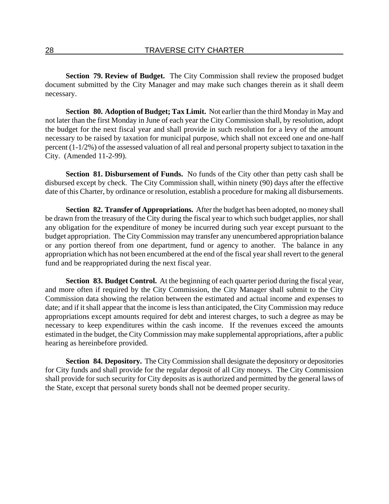**Section 79. Review of Budget.** The City Commission shall review the proposed budget document submitted by the City Manager and may make such changes therein as it shall deem necessary.

**Section 80. Adoption of Budget; Tax Limit.** Not earlier than the third Monday in May and not later than the first Monday in June of each year the City Commission shall, by resolution, adopt the budget for the next fiscal year and shall provide in such resolution for a levy of the amount necessary to be raised by taxation for municipal purpose, which shall not exceed one and one-half percent (1-1/2%) of the assessed valuation of all real and personal property subject to taxation in the City. (Amended 11-2-99).

**Section 81. Disbursement of Funds.** No funds of the City other than petty cash shall be disbursed except by check. The City Commission shall, within ninety (90) days after the effective date of this Charter, by ordinance or resolution, establish a procedure for making all disbursements.

**Section 82. Transfer of Appropriations.** After the budget has been adopted, no money shall be drawn from the treasury of the City during the fiscal year to which such budget applies, nor shall any obligation for the expenditure of money be incurred during such year except pursuant to the budget appropriation. The City Commission may transfer any unencumbered appropriation balance or any portion thereof from one department, fund or agency to another. The balance in any appropriation which has not been encumbered at the end of the fiscal year shall revert to the general fund and be reappropriated during the next fiscal year.

**Section 83. Budget Control.** At the beginning of each quarter period during the fiscal year, and more often if required by the City Commission, the City Manager shall submit to the City Commission data showing the relation between the estimated and actual income and expenses to date; and if it shall appear that the income is less than anticipated, the City Commission may reduce appropriations except amounts required for debt and interest charges, to such a degree as may be necessary to keep expenditures within the cash income. If the revenues exceed the amounts estimated in the budget, the City Commission may make supplemental appropriations, after a public hearing as hereinbefore provided.

**Section 84. Depository.** The City Commission shall designate the depository or depositories for City funds and shall provide for the regular deposit of all City moneys. The City Commission shall provide for such security for City deposits as is authorized and permitted by the general laws of the State, except that personal surety bonds shall not be deemed proper security.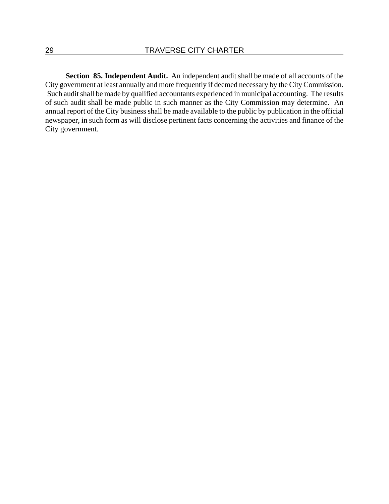**Section 85. Independent Audit.** An independent audit shall be made of all accounts of the City government at least annually and more frequently if deemed necessary by the City Commission. Such audit shall be made by qualified accountants experienced in municipal accounting. The results of such audit shall be made public in such manner as the City Commission may determine. An annual report of the City business shall be made available to the public by publication in the official newspaper, in such form as will disclose pertinent facts concerning the activities and finance of the City government.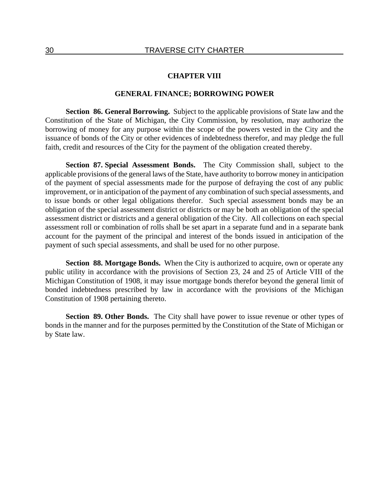### **CHAPTER VIII**

### **GENERAL FINANCE; BORROWING POWER**

**Section 86. General Borrowing.** Subject to the applicable provisions of State law and the Constitution of the State of Michigan, the City Commission, by resolution, may authorize the borrowing of money for any purpose within the scope of the powers vested in the City and the issuance of bonds of the City or other evidences of indebtedness therefor, and may pledge the full faith, credit and resources of the City for the payment of the obligation created thereby.

**Section 87. Special Assessment Bonds.** The City Commission shall, subject to the applicable provisions of the general laws of the State, have authority to borrow money in anticipation of the payment of special assessments made for the purpose of defraying the cost of any public improvement, or in anticipation of the payment of any combination of such special assessments, and to issue bonds or other legal obligations therefor. Such special assessment bonds may be an obligation of the special assessment district or districts or may be both an obligation of the special assessment district or districts and a general obligation of the City. All collections on each special assessment roll or combination of rolls shall be set apart in a separate fund and in a separate bank account for the payment of the principal and interest of the bonds issued in anticipation of the payment of such special assessments, and shall be used for no other purpose.

**Section 88. Mortgage Bonds.** When the City is authorized to acquire, own or operate any public utility in accordance with the provisions of Section 23, 24 and 25 of Article VIII of the Michigan Constitution of 1908, it may issue mortgage bonds therefor beyond the general limit of bonded indebtedness prescribed by law in accordance with the provisions of the Michigan Constitution of 1908 pertaining thereto.

**Section 89. Other Bonds.** The City shall have power to issue revenue or other types of bonds in the manner and for the purposes permitted by the Constitution of the State of Michigan or by State law.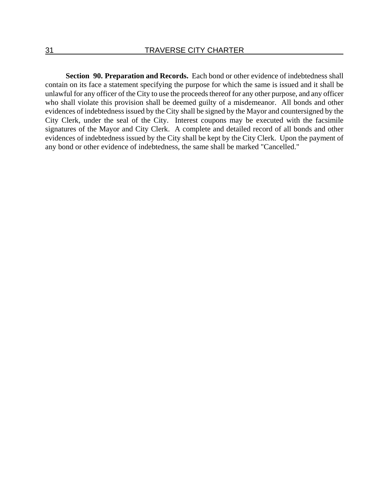**Section 90. Preparation and Records.** Each bond or other evidence of indebtedness shall contain on its face a statement specifying the purpose for which the same is issued and it shall be unlawful for any officer of the City to use the proceeds thereof for any other purpose, and any officer who shall violate this provision shall be deemed guilty of a misdemeanor. All bonds and other evidences of indebtedness issued by the City shall be signed by the Mayor and countersigned by the City Clerk, under the seal of the City. Interest coupons may be executed with the facsimile signatures of the Mayor and City Clerk. A complete and detailed record of all bonds and other evidences of indebtedness issued by the City shall be kept by the City Clerk. Upon the payment of any bond or other evidence of indebtedness, the same shall be marked "Cancelled."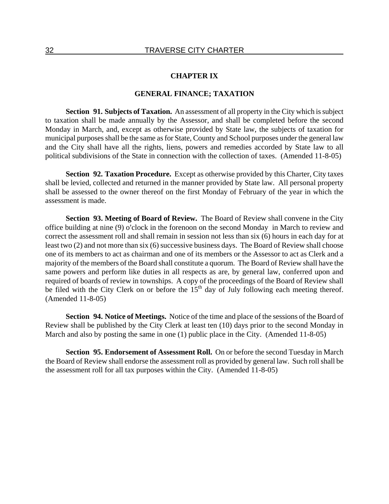### **CHAPTER IX**

## **GENERAL FINANCE; TAXATION**

**Section 91. Subjects of Taxation.** An assessment of all property in the City which is subject to taxation shall be made annually by the Assessor, and shall be completed before the second Monday in March, and, except as otherwise provided by State law, the subjects of taxation for municipal purposes shall be the same as for State, County and School purposes under the general law and the City shall have all the rights, liens, powers and remedies accorded by State law to all political subdivisions of the State in connection with the collection of taxes. (Amended 11-8-05)

**Section 92. Taxation Procedure.** Except as otherwise provided by this Charter, City taxes shall be levied, collected and returned in the manner provided by State law. All personal property shall be assessed to the owner thereof on the first Monday of February of the year in which the assessment is made.

**Section 93. Meeting of Board of Review.** The Board of Review shall convene in the City office building at nine (9) o'clock in the forenoon on the second Monday in March to review and correct the assessment roll and shall remain in session not less than six (6) hours in each day for at least two (2) and not more than six (6) successive business days. The Board of Review shall choose one of its members to act as chairman and one of its members or the Assessor to act as Clerk and a majority of the members of the Board shall constitute a quorum. The Board of Review shall have the same powers and perform like duties in all respects as are, by general law, conferred upon and required of boards of review in townships. A copy of the proceedings of the Board of Review shall be filed with the City Clerk on or before the  $15<sup>th</sup>$  day of July following each meeting thereof. (Amended 11-8-05)

**Section 94. Notice of Meetings.** Notice of the time and place of the sessions of the Board of Review shall be published by the City Clerk at least ten (10) days prior to the second Monday in March and also by posting the same in one (1) public place in the City. (Amended 11-8-05)

**Section 95. Endorsement of Assessment Roll.** On or before the second Tuesday in March the Board of Review shall endorse the assessment roll as provided by general law. Such roll shall be the assessment roll for all tax purposes within the City. (Amended 11-8-05)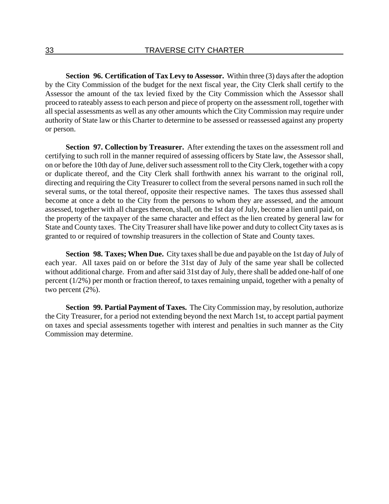**Section 96. Certification of Tax Levy to Assessor.** Within three (3) days after the adoption by the City Commission of the budget for the next fiscal year, the City Clerk shall certify to the Assessor the amount of the tax levied fixed by the City Commission which the Assessor shall proceed to rateably assess to each person and piece of property on the assessment roll, together with all special assessments as well as any other amounts which the City Commission may require under authority of State law or this Charter to determine to be assessed or reassessed against any property or person.

**Section 97. Collection by Treasurer.** After extending the taxes on the assessment roll and certifying to such roll in the manner required of assessing officers by State law, the Assessor shall, on or before the 10th day of June, deliver such assessment roll to the City Clerk, together with a copy or duplicate thereof, and the City Clerk shall forthwith annex his warrant to the original roll, directing and requiring the City Treasurer to collect from the several persons named in such roll the several sums, or the total thereof, opposite their respective names. The taxes thus assessed shall become at once a debt to the City from the persons to whom they are assessed, and the amount assessed, together with all charges thereon, shall, on the 1st day of July, become a lien until paid, on the property of the taxpayer of the same character and effect as the lien created by general law for State and County taxes. The City Treasurer shall have like power and duty to collect City taxes as is granted to or required of township treasurers in the collection of State and County taxes.

**Section 98. Taxes; When Due.** City taxes shall be due and payable on the 1st day of July of each year. All taxes paid on or before the 31st day of July of the same year shall be collected without additional charge. From and after said 31st day of July, there shall be added one-half of one percent (1/2%) per month or fraction thereof, to taxes remaining unpaid, together with a penalty of two percent (2%).

**Section 99. Partial Payment of Taxes.** The City Commission may, by resolution, authorize the City Treasurer, for a period not extending beyond the next March 1st, to accept partial payment on taxes and special assessments together with interest and penalties in such manner as the City Commission may determine.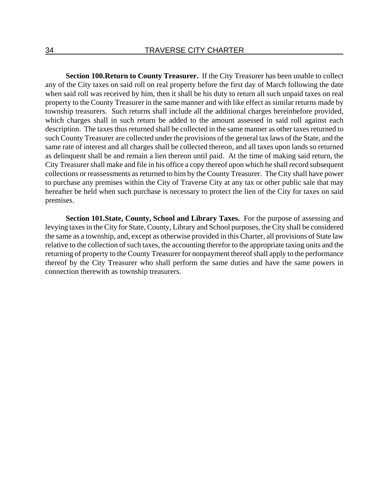**Section 100. Return to County Treasurer.** If the City Treasurer has been unable to collect any of the City taxes on said roll on real property before the first day of March following the date when said roll was received by him, then it shall be his duty to return all such unpaid taxes on real property to the County Treasurer in the same manner and with like effect as similar returns made by township treasurers. Such returns shall include all the additional charges hereinbefore provided, which charges shall in such return be added to the amount assessed in said roll against each description. The taxes thus returned shall be collected in the same manner as other taxes returned to such County Treasurer are collected under the provisions of the general tax laws of the State, and the same rate of interest and all charges shall be collected thereon, and all taxes upon lands so returned as delinquent shall be and remain a lien thereon until paid. At the time of making said return, the City Treasurer shall make and file in his office a copy thereof upon which he shall record subsequent collections or reassessments as returned to him by the County Treasurer. The City shall have power to purchase any premises within the City of Traverse City at any tax or other public sale that may hereafter be held when such purchase is necessary to protect the lien of the City for taxes on said premises.

**Section 101. State, County, School and Library Taxes.** For the purpose of assessing and levying taxes in the City for State, County, Library and School purposes, the City shall be considered the same as a township, and, except as otherwise provided in this Charter, all provisions of State law relative to the collection of such taxes, the accounting therefor to the appropriate taxing units and the returning of property to the County Treasurer for nonpayment thereof shall apply to the performance thereof by the City Treasurer who shall perform the same duties and have the same powers in connection therewith as township treasurers.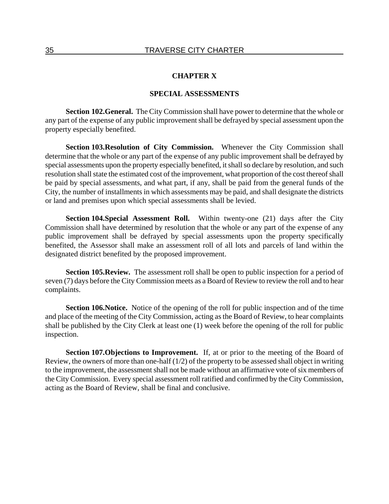### **CHAPTER X**

### **SPECIAL ASSESSMENTS**

**Section 102. General.** The City Commission shall have power to determine that the whole or any part of the expense of any public improvement shall be defrayed by special assessment upon the property especially benefited.

**Section 103. Resolution of City Commission.** Whenever the City Commission shall determine that the whole or any part of the expense of any public improvement shall be defrayed by special assessments upon the property especially benefited, it shall so declare by resolution, and such resolution shall state the estimated cost of the improvement, what proportion of the cost thereof shall be paid by special assessments, and what part, if any, shall be paid from the general funds of the City, the number of installments in which assessments may be paid, and shall designate the districts or land and premises upon which special assessments shall be levied.

**Section 104. Special Assessment Roll.** Within twenty-one (21) days after the City Commission shall have determined by resolution that the whole or any part of the expense of any public improvement shall be defrayed by special assessments upon the property specifically benefited, the Assessor shall make an assessment roll of all lots and parcels of land within the designated district benefited by the proposed improvement.

**Section 105. Review.** The assessment roll shall be open to public inspection for a period of seven (7) days before the City Commission meets as a Board of Review to review the roll and to hear complaints.

**Section 106. Notice.** Notice of the opening of the roll for public inspection and of the time and place of the meeting of the City Commission, acting as the Board of Review, to hear complaints shall be published by the City Clerk at least one (1) week before the opening of the roll for public inspection.

**Section 107. Objections to Improvement.** If, at or prior to the meeting of the Board of Review, the owners of more than one-half (1/2) of the property to be assessed shall object in writing to the improvement, the assessment shall not be made without an affirmative vote of six members of the City Commission. Every special assessment roll ratified and confirmed by the City Commission, acting as the Board of Review, shall be final and conclusive.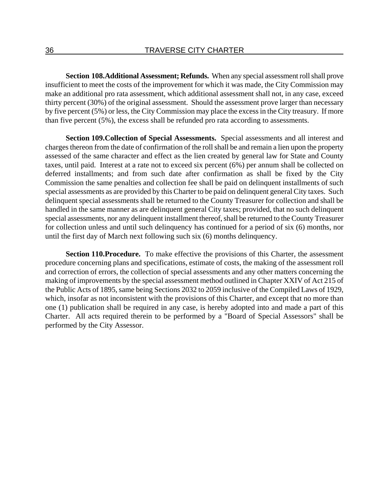**Section 108. Additional Assessment; Refunds.** When any special assessment roll shall prove insufficient to meet the costs of the improvement for which it was made, the City Commission may make an additional pro rata assessment, which additional assessment shall not, in any case, exceed thirty percent (30%) of the original assessment. Should the assessment prove larger than necessary by five percent (5%) or less, the City Commission may place the excess in the City treasury. If more than five percent (5%), the excess shall be refunded pro rata according to assessments.

**Section 109. Collection of Special Assessments.** Special assessments and all interest and charges thereon from the date of confirmation of the roll shall be and remain a lien upon the property assessed of the same character and effect as the lien created by general law for State and County taxes, until paid. Interest at a rate not to exceed six percent (6%) per annum shall be collected on deferred installments; and from such date after confirmation as shall be fixed by the City Commission the same penalties and collection fee shall be paid on delinquent installments of such special assessments as are provided by this Charter to be paid on delinquent general City taxes. Such delinquent special assessments shall be returned to the County Treasurer for collection and shall be handled in the same manner as are delinquent general City taxes; provided, that no such delinquent special assessments, nor any delinquent installment thereof, shall be returned to the County Treasurer for collection unless and until such delinquency has continued for a period of six (6) months, nor until the first day of March next following such six (6) months delinquency.

**Section 110. Procedure.** To make effective the provisions of this Charter, the assessment procedure concerning plans and specifications, estimate of costs, the making of the assessment roll and correction of errors, the collection of special assessments and any other matters concerning the making of improvements by the special assessment method outlined in Chapter XXIV of Act 215 of the Public Acts of 1895, same being Sections 2032 to 2059 inclusive of the Compiled Laws of 1929, which, insofar as not inconsistent with the provisions of this Charter, and except that no more than one (1) publication shall be required in any case, is hereby adopted into and made a part of this Charter. All acts required therein to be performed by a "Board of Special Assessors" shall be performed by the City Assessor.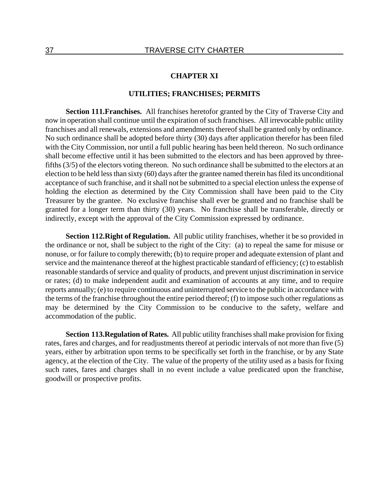#### **CHAPTER XI**

## **UTILITIES; FRANCHISES; PERMITS**

**Section 111. Franchises.** All franchises heretofor granted by the City of Traverse City and now in operation shall continue until the expiration of such franchises. All irrevocable public utility franchises and all renewals, extensions and amendments thereof shall be granted only by ordinance. No such ordinance shall be adopted before thirty (30) days after application therefor has been filed with the City Commission, nor until a full public hearing has been held thereon. No such ordinance shall become effective until it has been submitted to the electors and has been approved by threefifths (3/5) of the electors voting thereon. No such ordinance shall be submitted to the electors at an election to be held less than sixty (60) days after the grantee named therein has filed its unconditional acceptance of such franchise, and it shall not be submitted to a special election unless the expense of holding the election as determined by the City Commission shall have been paid to the City Treasurer by the grantee. No exclusive franchise shall ever be granted and no franchise shall be granted for a longer term than thirty (30) years. No franchise shall be transferable, directly or indirectly, except with the approval of the City Commission expressed by ordinance.

**Section 112. Right of Regulation.** All public utility franchises, whether it be so provided in the ordinance or not, shall be subject to the right of the City: (a) to repeal the same for misuse or nonuse, or for failure to comply therewith; (b) to require proper and adequate extension of plant and service and the maintenance thereof at the highest practicable standard of efficiency; (c) to establish reasonable standards of service and quality of products, and prevent unjust discrimination in service or rates; (d) to make independent audit and examination of accounts at any time, and to require reports annually; (e) to require continuous and uninterrupted service to the public in accordance with the terms of the franchise throughout the entire period thereof; (f) to impose such other regulations as may be determined by the City Commission to be conducive to the safety, welfare and accommodation of the public.

**Section 113. Regulation of Rates.** All public utility franchises shall make provision for fixing rates, fares and charges, and for readjustments thereof at periodic intervals of not more than five (5) years, either by arbitration upon terms to be specifically set forth in the franchise, or by any State agency, at the election of the City. The value of the property of the utility used as a basis for fixing such rates, fares and charges shall in no event include a value predicated upon the franchise, goodwill or prospective profits.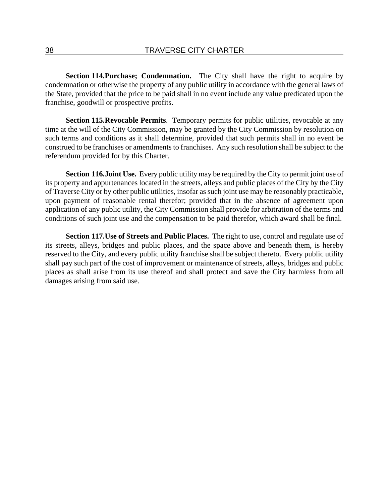**Section 114. Purchase; Condemnation.** The City shall have the right to acquire by condemnation or otherwise the property of any public utility in accordance with the general laws of the State, provided that the price to be paid shall in no event include any value predicated upon the franchise, goodwill or prospective profits.

**Section 115. Revocable Permits.** Temporary permits for public utilities, revocable at any time at the will of the City Commission, may be granted by the City Commission by resolution on such terms and conditions as it shall determine, provided that such permits shall in no event be construed to be franchises or amendments to franchises. Any such resolution shall be subject to the referendum provided for by this Charter.

**Section 116. Joint Use.** Every public utility may be required by the City to permit joint use of its property and appurtenances located in the streets, alleys and public places of the City by the City of Traverse City or by other public utilities, insofar as such joint use may be reasonably practicable, upon payment of reasonable rental therefor; provided that in the absence of agreement upon application of any public utility, the City Commission shall provide for arbitration of the terms and conditions of such joint use and the compensation to be paid therefor, which award shall be final.

**Section 117. Use of Streets and Public Places.** The right to use, control and regulate use of its streets, alleys, bridges and public places, and the space above and beneath them, is hereby reserved to the City, and every public utility franchise shall be subject thereto. Every public utility shall pay such part of the cost of improvement or maintenance of streets, alleys, bridges and public places as shall arise from its use thereof and shall protect and save the City harmless from all damages arising from said use.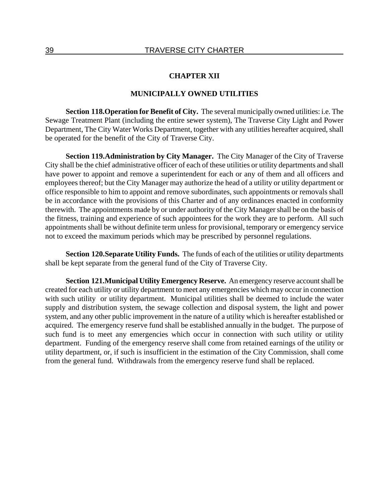### **CHAPTER XII**

### **MUNICIPALLY OWNED UTILITIES**

**Section 118. Operation for Benefit of City.** The several municipally owned utilities: i.e. The Sewage Treatment Plant (including the entire sewer system), The Traverse City Light and Power Department, The City Water Works Department, together with any utilities hereafter acquired, shall be operated for the benefit of the City of Traverse City.

**Section 119. Administration by City Manager.** The City Manager of the City of Traverse City shall be the chief administrative officer of each of these utilities or utility departments and shall have power to appoint and remove a superintendent for each or any of them and all officers and employees thereof; but the City Manager may authorize the head of a utility or utility department or office responsible to him to appoint and remove subordinates, such appointments or removals shall be in accordance with the provisions of this Charter and of any ordinances enacted in conformity therewith. The appointments made by or under authority of the City Manager shall be on the basis of the fitness, training and experience of such appointees for the work they are to perform. All such appointments shall be without definite term unless for provisional, temporary or emergency service not to exceed the maximum periods which may be prescribed by personnel regulations.

**Section 120. Separate Utility Funds.** The funds of each of the utilities or utility departments shall be kept separate from the general fund of the City of Traverse City.

**Section 121. Municipal Utility Emergency Reserve.** An emergency reserve account shall be created for each utility or utility department to meet any emergencies which may occur in connection with such utility or utility department. Municipal utilities shall be deemed to include the water supply and distribution system, the sewage collection and disposal system, the light and power system, and any other public improvement in the nature of a utility which is hereafter established or acquired. The emergency reserve fund shall be established annually in the budget. The purpose of such fund is to meet any emergencies which occur in connection with such utility or utility department. Funding of the emergency reserve shall come from retained earnings of the utility or utility department, or, if such is insufficient in the estimation of the City Commission, shall come from the general fund. Withdrawals from the emergency reserve fund shall be replaced.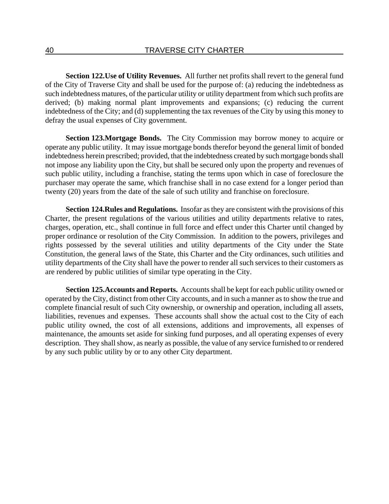**Section 122. Use of Utility Revenues.** All further net profits shall revert to the general fund of the City of Traverse City and shall be used for the purpose of: (a) reducing the indebtedness as such indebtedness matures, of the particular utility or utility department from which such profits are derived; (b) making normal plant improvements and expansions; (c) reducing the current indebtedness of the City; and (d) supplementing the tax revenues of the City by using this money to defray the usual expenses of City government.

**Section 123. Mortgage Bonds.** The City Commission may borrow money to acquire or operate any public utility. It may issue mortgage bonds therefor beyond the general limit of bonded indebtedness herein prescribed; provided, that the indebtedness created by such mortgage bonds shall not impose any liability upon the City, but shall be secured only upon the property and revenues of such public utility, including a franchise, stating the terms upon which in case of foreclosure the purchaser may operate the same, which franchise shall in no case extend for a longer period than twenty (20) years from the date of the sale of such utility and franchise on foreclosure.

**Section 124. Rules and Regulations.** Insofar as they are consistent with the provisions of this Charter, the present regulations of the various utilities and utility departments relative to rates, charges, operation, etc., shall continue in full force and effect under this Charter until changed by proper ordinance or resolution of the City Commission. In addition to the powers, privileges and rights possessed by the several utilities and utility departments of the City under the State Constitution, the general laws of the State, this Charter and the City ordinances, such utilities and utility departments of the City shall have the power to render all such services to their customers as are rendered by public utilities of similar type operating in the City.

**Section 125. Accounts and Reports.** Accounts shall be kept for each public utility owned or operated by the City, distinct from other City accounts, and in such a manner as to show the true and complete financial result of such City ownership, or ownership and operation, including all assets, liabilities, revenues and expenses. These accounts shall show the actual cost to the City of each public utility owned, the cost of all extensions, additions and improvements, all expenses of maintenance, the amounts set aside for sinking fund purposes, and all operating expenses of every description. They shall show, as nearly as possible, the value of any service furnished to or rendered by any such public utility by or to any other City department.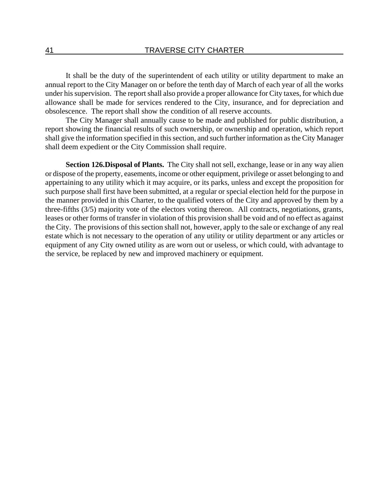It shall be the duty of the superintendent of each utility or utility department to make an annual report to the City Manager on or before the tenth day of March of each year of all the works under his supervision. The report shall also provide a proper allowance for City taxes, for which due allowance shall be made for services rendered to the City, insurance, and for depreciation and obsolescence. The report shall show the condition of all reserve accounts.

The City Manager shall annually cause to be made and published for public distribution, a report showing the financial results of such ownership, or ownership and operation, which report shall give the information specified in this section, and such further information as the City Manager shall deem expedient or the City Commission shall require.

**Section 126. Disposal of Plants.** The City shall not sell, exchange, lease or in any way alien or dispose of the property, easements, income or other equipment, privilege or asset belonging to and appertaining to any utility which it may acquire, or its parks, unless and except the proposition for such purpose shall first have been submitted, at a regular or special election held for the purpose in the manner provided in this Charter, to the qualified voters of the City and approved by them by a three-fifths (3/5) majority vote of the electors voting thereon. All contracts, negotiations, grants, leases or other forms of transfer in violation of this provision shall be void and of no effect as against the City. The provisions of this section shall not, however, apply to the sale or exchange of any real estate which is not necessary to the operation of any utility or utility department or any articles or equipment of any City owned utility as are worn out or useless, or which could, with advantage to the service, be replaced by new and improved machinery or equipment.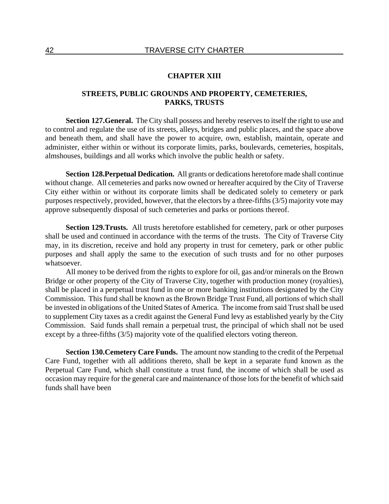### **CHAPTER XIII**

## **STREETS, PUBLIC GROUNDS AND PROPERTY, CEMETERIES, PARKS, TRUSTS**

**Section 127. General.** The City shall possess and hereby reserves to itself the right to use and to control and regulate the use of its streets, alleys, bridges and public places, and the space above and beneath them, and shall have the power to acquire, own, establish, maintain, operate and administer, either within or without its corporate limits, parks, boulevards, cemeteries, hospitals, almshouses, buildings and all works which involve the public health or safety.

**Section 128. Perpetual Dedication.** All grants or dedications heretofore made shall continue without change. All cemeteries and parks now owned or hereafter acquired by the City of Traverse City either within or without its corporate limits shall be dedicated solely to cemetery or park purposes respectively, provided, however, that the electors by a three-fifths (3/5) majority vote may approve subsequently disposal of such cemeteries and parks or portions thereof.

**Section 129. Trusts.** All trusts heretofore established for cemetery, park or other purposes shall be used and continued in accordance with the terms of the trusts. The City of Traverse City may, in its discretion, receive and hold any property in trust for cemetery, park or other public purposes and shall apply the same to the execution of such trusts and for no other purposes whatsoever.

All money to be derived from the rights to explore for oil, gas and/or minerals on the Brown Bridge or other property of the City of Traverse City, together with production money (royalties), shall be placed in a perpetual trust fund in one or more banking institutions designated by the City Commission. This fund shall be known as the Brown Bridge Trust Fund, all portions of which shall be invested in obligations of the United States of America. The income from said Trust shall be used to supplement City taxes as a credit against the General Fund levy as established yearly by the City Commission. Said funds shall remain a perpetual trust, the principal of which shall not be used except by a three-fifths (3/5) majority vote of the qualified electors voting thereon.

**Section 130. Cemetery Care Funds.** The amount now standing to the credit of the Perpetual Care Fund, together with all additions thereto, shall be kept in a separate fund known as the Perpetual Care Fund, which shall constitute a trust fund, the income of which shall be used as occasion may require for the general care and maintenance of those lots for the benefit of which said funds shall have been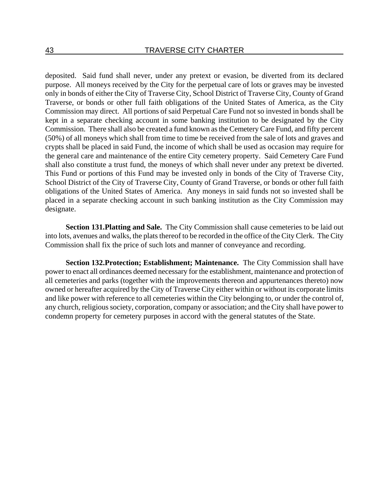deposited. Said fund shall never, under any pretext or evasion, be diverted from its declared purpose. All moneys received by the City for the perpetual care of lots or graves may be invested only in bonds of either the City of Traverse City, School District of Traverse City, County of Grand Traverse, or bonds or other full faith obligations of the United States of America, as the City Commission may direct. All portions of said Perpetual Care Fund not so invested in bonds shall be kept in a separate checking account in some banking institution to be designated by the City Commission. There shall also be created a fund known as the Cemetery Care Fund, and fifty percent (50%) of all moneys which shall from time to time be received from the sale of lots and graves and crypts shall be placed in said Fund, the income of which shall be used as occasion may require for the general care and maintenance of the entire City cemetery property. Said Cemetery Care Fund shall also constitute a trust fund, the moneys of which shall never under any pretext be diverted. This Fund or portions of this Fund may be invested only in bonds of the City of Traverse City, School District of the City of Traverse City, County of Grand Traverse, or bonds or other full faith obligations of the United States of America. Any moneys in said funds not so invested shall be placed in a separate checking account in such banking institution as the City Commission may designate.

**Section 131. Platting and Sale.** The City Commission shall cause cemeteries to be laid out into lots, avenues and walks, the plats thereof to be recorded in the office of the City Clerk. The City Commission shall fix the price of such lots and manner of conveyance and recording.

**Section 132. Protection; Establishment; Maintenance.** The City Commission shall have power to enact all ordinances deemed necessary for the establishment, maintenance and protection of all cemeteries and parks (together with the improvements thereon and appurtenances thereto) now owned or hereafter acquired by the City of Traverse City either within or without its corporate limits and like power with reference to all cemeteries within the City belonging to, or under the control of, any church, religious society, corporation, company or association; and the City shall have power to condemn property for cemetery purposes in accord with the general statutes of the State.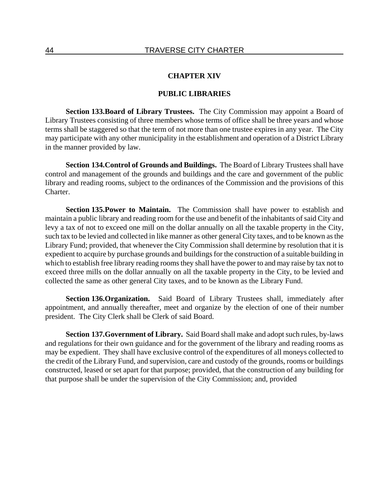### **CHAPTER XIV**

#### **PUBLIC LIBRARIES**

**Section 133. Board of Library Trustees.** The City Commission may appoint a Board of Library Trustees consisting of three members whose terms of office shall be three years and whose terms shall be staggered so that the term of not more than one trustee expires in any year. The City may participate with any other municipality in the establishment and operation of a District Library in the manner provided by law.

**Section 134. Control of Grounds and Buildings.** The Board of Library Trustees shall have control and management of the grounds and buildings and the care and government of the public library and reading rooms, subject to the ordinances of the Commission and the provisions of this Charter.

**Section 135. Power to Maintain.** The Commission shall have power to establish and maintain a public library and reading room for the use and benefit of the inhabitants of said City and levy a tax of not to exceed one mill on the dollar annually on all the taxable property in the City, such tax to be levied and collected in like manner as other general City taxes, and to be known as the Library Fund; provided, that whenever the City Commission shall determine by resolution that it is expedient to acquire by purchase grounds and buildings for the construction of a suitable building in which to establish free library reading rooms they shall have the power to and may raise by tax not to exceed three mills on the dollar annually on all the taxable property in the City, to be levied and collected the same as other general City taxes, and to be known as the Library Fund.

**Section 136. Organization.** Said Board of Library Trustees shall, immediately after appointment, and annually thereafter, meet and organize by the election of one of their number president. The City Clerk shall be Clerk of said Board.

**Section 137. Government of Library.** Said Board shall make and adopt such rules, by-laws and regulations for their own guidance and for the government of the library and reading rooms as may be expedient. They shall have exclusive control of the expenditures of all moneys collected to the credit of the Library Fund, and supervision, care and custody of the grounds, rooms or buildings constructed, leased or set apart for that purpose; provided, that the construction of any building for that purpose shall be under the supervision of the City Commission; and, provided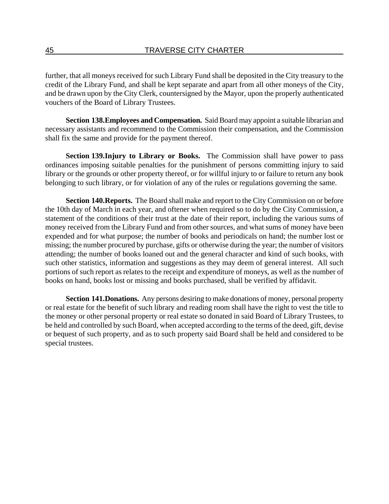further, that all moneys received for such Library Fund shall be deposited in the City treasury to the credit of the Library Fund, and shall be kept separate and apart from all other moneys of the City, and be drawn upon by the City Clerk, countersigned by the Mayor, upon the properly authenticated vouchers of the Board of Library Trustees.

**Section 138. Employees and Compensation.** Said Board may appoint a suitable librarian and necessary assistants and recommend to the Commission their compensation, and the Commission shall fix the same and provide for the payment thereof.

**Section 139. Injury to Library or Books.** The Commission shall have power to pass ordinances imposing suitable penalties for the punishment of persons committing injury to said library or the grounds or other property thereof, or for willful injury to or failure to return any book belonging to such library, or for violation of any of the rules or regulations governing the same.

**Section 140. Reports.** The Board shall make and report to the City Commission on or before the 10th day of March in each year, and oftener when required so to do by the City Commission, a statement of the conditions of their trust at the date of their report, including the various sums of money received from the Library Fund and from other sources, and what sums of money have been expended and for what purpose; the number of books and periodicals on hand; the number lost or missing; the number procured by purchase, gifts or otherwise during the year; the number of visitors attending; the number of books loaned out and the general character and kind of such books, with such other statistics, information and suggestions as they may deem of general interest. All such portions of such report as relates to the receipt and expenditure of moneys, as well as the number of books on hand, books lost or missing and books purchased, shall be verified by affidavit.

**Section 141. Donations.** Any persons desiring to make donations of money, personal property or real estate for the benefit of such library and reading room shall have the right to vest the title to the money or other personal property or real estate so donated in said Board of Library Trustees, to be held and controlled by such Board, when accepted according to the terms of the deed, gift, devise or bequest of such property, and as to such property said Board shall be held and considered to be special trustees.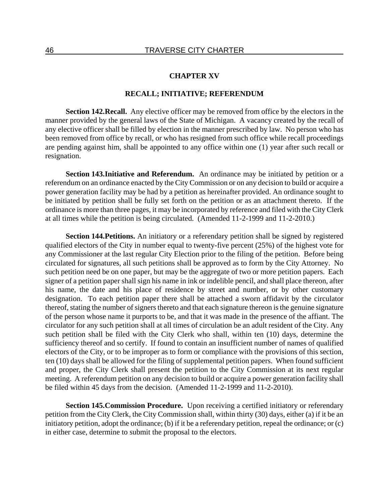#### **CHAPTER XV**

## **RECALL; INITIATIVE; REFERENDUM**

**Section 142. Recall.** Any elective officer may be removed from office by the electors in the manner provided by the general laws of the State of Michigan. A vacancy created by the recall of any elective officer shall be filled by election in the manner prescribed by law. No person who has been removed from office by recall, or who has resigned from such office while recall proceedings are pending against him, shall be appointed to any office within one (1) year after such recall or resignation.

**Section 143. Initiative and Referendum.** An ordinance may be initiated by petition or a referendum on an ordinance enacted by the City Commission or on any decision to build or acquire a power generation facility may be had by a petition as hereinafter provided. An ordinance sought to be initiated by petition shall be fully set forth on the petition or as an attachment thereto. If the ordinance is more than three pages, it may be incorporated by reference and filed with the City Clerk at all times while the petition is being circulated. (Amended 11-2-1999 and 11-2-2010.)

**Section 144. Petitions.** An initiatory or a referendary petition shall be signed by registered qualified electors of the City in number equal to twenty-five percent (25%) of the highest vote for any Commissioner at the last regular City Election prior to the filing of the petition. Before being circulated for signatures, all such petitions shall be approved as to form by the City Attorney. No such petition need be on one paper, but may be the aggregate of two or more petition papers. Each signer of a petition paper shall sign his name in ink or indelible pencil, and shall place thereon, after his name, the date and his place of residence by street and number, or by other customary designation. To each petition paper there shall be attached a sworn affidavit by the circulator thereof, stating the number of signers thereto and that each signature thereon is the genuine signature of the person whose name it purports to be, and that it was made in the presence of the affiant. The circulator for any such petition shall at all times of circulation be an adult resident of the City. Any such petition shall be filed with the City Clerk who shall, within ten (10) days, determine the sufficiency thereof and so certify. If found to contain an insufficient number of names of qualified electors of the City, or to be improper as to form or compliance with the provisions of this section, ten (10) days shall be allowed for the filing of supplemental petition papers. When found sufficient and proper, the City Clerk shall present the petition to the City Commission at its next regular meeting. A referendum petition on any decision to build or acquire a power generation facility shall be filed within 45 days from the decision. (Amended 11-2-1999 and 11-2-2010).

**Section 145. Commission Procedure.** Upon receiving a certified initiatory or referendary petition from the City Clerk, the City Commission shall, within thirty (30) days, either (a) if it be an initiatory petition, adopt the ordinance; (b) if it be a referendary petition, repeal the ordinance; or (c) in either case, determine to submit the proposal to the electors.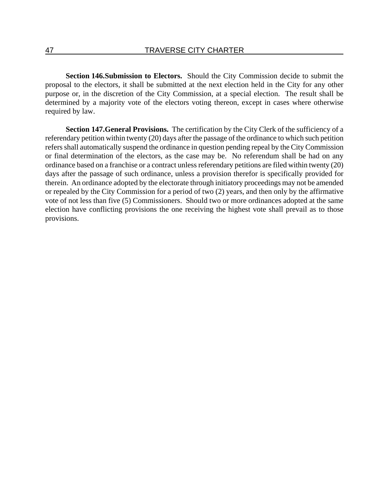**Section 146. Submission to Electors.** Should the City Commission decide to submit the proposal to the electors, it shall be submitted at the next election held in the City for any other purpose or, in the discretion of the City Commission, at a special election. The result shall be determined by a majority vote of the electors voting thereon, except in cases where otherwise required by law.

**Section 147. General Provisions.** The certification by the City Clerk of the sufficiency of a referendary petition within twenty (20) days after the passage of the ordinance to which such petition refers shall automatically suspend the ordinance in question pending repeal by the City Commission or final determination of the electors, as the case may be. No referendum shall be had on any ordinance based on a franchise or a contract unless referendary petitions are filed within twenty (20) days after the passage of such ordinance, unless a provision therefor is specifically provided for therein. An ordinance adopted by the electorate through initiatory proceedings may not be amended or repealed by the City Commission for a period of two (2) years, and then only by the affirmative vote of not less than five (5) Commissioners. Should two or more ordinances adopted at the same election have conflicting provisions the one receiving the highest vote shall prevail as to those provisions.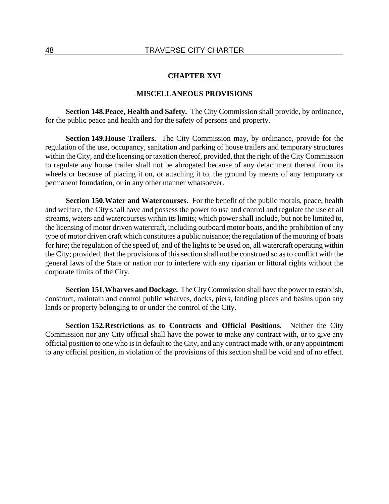### **CHAPTER XVI**

### **MISCELLANEOUS PROVISIONS**

**Section 148. Peace, Health and Safety.** The City Commission shall provide, by ordinance, for the public peace and health and for the safety of persons and property.

**Section 149. House Trailers.** The City Commission may, by ordinance, provide for the regulation of the use, occupancy, sanitation and parking of house trailers and temporary structures within the City, and the licensing or taxation thereof, provided, that the right of the City Commission to regulate any house trailer shall not be abrogated because of any detachment thereof from its wheels or because of placing it on, or attaching it to, the ground by means of any temporary or permanent foundation, or in any other manner whatsoever.

**Section 150. Water and Watercourses.** For the benefit of the public morals, peace, health and welfare, the City shall have and possess the power to use and control and regulate the use of all streams, waters and watercourses within its limits; which power shall include, but not be limited to, the licensing of motor driven watercraft, including outboard motor boats, and the prohibition of any type of motor driven craft which constitutes a public nuisance; the regulation of the mooring of boats for hire; the regulation of the speed of, and of the lights to be used on, all watercraft operating within the City; provided, that the provisions of this section shall not be construed so as to conflict with the general laws of the State or nation nor to interfere with any riparian or littoral rights without the corporate limits of the City.

**Section 151. Wharves and Dockage.** The City Commission shall have the power to establish, construct, maintain and control public wharves, docks, piers, landing places and basins upon any lands or property belonging to or under the control of the City.

**Section 152. Restrictions as to Contracts and Official Positions.** Neither the City Commission nor any City official shall have the power to make any contract with, or to give any official position to one who is in default to the City, and any contract made with, or any appointment to any official position, in violation of the provisions of this section shall be void and of no effect.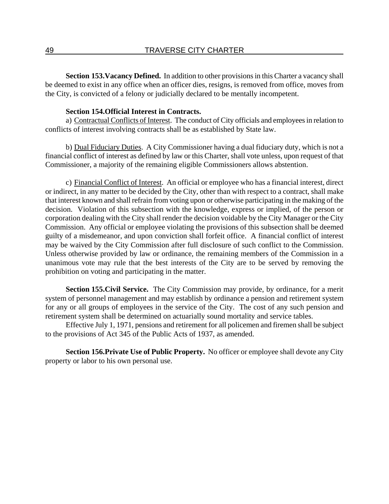**Section 153. Vacancy Defined.** In addition to other provisions in this Charter a vacancy shall be deemed to exist in any office when an officer dies, resigns, is removed from office, moves from the City, is convicted of a felony or judicially declared to be mentally incompetent.

## **Section 154. Official Interest in Contracts.**

a) Contractual Conflicts of Interest. The conduct of City officials and employees in relation to conflicts of interest involving contracts shall be as established by State law.

b) Dual Fiduciary Duties. A City Commissioner having a dual fiduciary duty, which is not a financial conflict of interest as defined by law or this Charter, shall vote unless, upon request of that Commissioner, a majority of the remaining eligible Commissioners allows abstention.

c) Financial Conflict of Interest. An official or employee who has a financial interest, direct or indirect, in any matter to be decided by the City, other than with respect to a contract, shall make that interest known and shall refrain from voting upon or otherwise participating in the making of the decision. Violation of this subsection with the knowledge, express or implied, of the person or corporation dealing with the City shall render the decision voidable by the City Manager or the City Commission. Any official or employee violating the provisions of this subsection shall be deemed guilty of a misdemeanor, and upon conviction shall forfeit office. A financial conflict of interest may be waived by the City Commission after full disclosure of such conflict to the Commission. Unless otherwise provided by law or ordinance, the remaining members of the Commission in a unanimous vote may rule that the best interests of the City are to be served by removing the prohibition on voting and participating in the matter.

**Section 155. Civil Service.** The City Commission may provide, by ordinance, for a merit system of personnel management and may establish by ordinance a pension and retirement system for any or all groups of employees in the service of the City. The cost of any such pension and retirement system shall be determined on actuarially sound mortality and service tables.

Effective July 1, 1971, pensions and retirement for all policemen and firemen shall be subject to the provisions of Act 345 of the Public Acts of 1937, as amended.

**Section 156. Private Use of Public Property.** No officer or employee shall devote any City property or labor to his own personal use.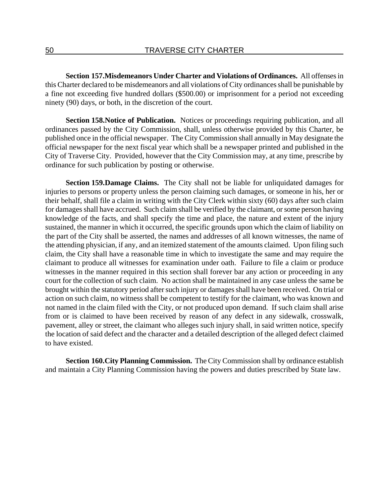**Section 157. Misdemeanors Under Charter and Violations of Ordinances.** All offenses in this Charter declared to be misdemeanors and all violations of City ordinances shall be punishable by a fine not exceeding five hundred dollars (\$500.00) or imprisonment for a period not exceeding ninety (90) days, or both, in the discretion of the court.

**Section 158. Notice of Publication.** Notices or proceedings requiring publication, and all ordinances passed by the City Commission, shall, unless otherwise provided by this Charter, be published once in the official newspaper. The City Commission shall annually in May designate the official newspaper for the next fiscal year which shall be a newspaper printed and published in the City of Traverse City. Provided, however that the City Commission may, at any time, prescribe by ordinance for such publication by posting or otherwise.

**Section 159. Damage Claims.** The City shall not be liable for unliquidated damages for injuries to persons or property unless the person claiming such damages, or someone in his, her or their behalf, shall file a claim in writing with the City Clerk within sixty (60) days after such claim for damages shall have accrued. Such claim shall be verified by the claimant, or some person having knowledge of the facts, and shall specify the time and place, the nature and extent of the injury sustained, the manner in which it occurred, the specific grounds upon which the claim of liability on the part of the City shall be asserted, the names and addresses of all known witnesses, the name of the attending physician, if any, and an itemized statement of the amounts claimed. Upon filing such claim, the City shall have a reasonable time in which to investigate the same and may require the claimant to produce all witnesses for examination under oath. Failure to file a claim or produce witnesses in the manner required in this section shall forever bar any action or proceeding in any court for the collection of such claim. No action shall be maintained in any case unless the same be brought within the statutory period after such injury or damages shall have been received. On trial or action on such claim, no witness shall be competent to testify for the claimant, who was known and not named in the claim filed with the City, or not produced upon demand. If such claim shall arise from or is claimed to have been received by reason of any defect in any sidewalk, crosswalk, pavement, alley or street, the claimant who alleges such injury shall, in said written notice, specify the location of said defect and the character and a detailed description of the alleged defect claimed to have existed.

**Section 160. City Planning Commission.** The City Commission shall by ordinance establish and maintain a City Planning Commission having the powers and duties prescribed by State law.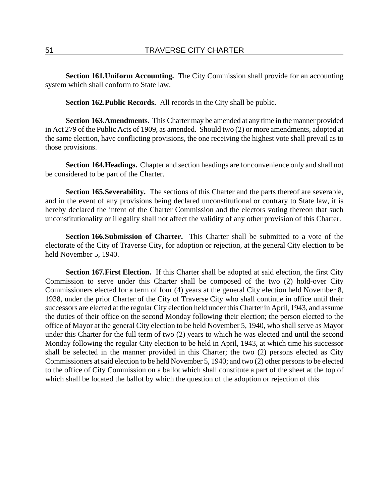**Section 161. Uniform Accounting.** The City Commission shall provide for an accounting system which shall conform to State law.

**Section 162. Public Records.** All records in the City shall be public.

**Section 163. Amendments.** This Charter may be amended at any time in the manner provided in Act 279 of the Public Acts of 1909, as amended. Should two (2) or more amendments, adopted at the same election, have conflicting provisions, the one receiving the highest vote shall prevail as to those provisions.

**Section 164. Headings.** Chapter and section headings are for convenience only and shall not be considered to be part of the Charter.

**Section 165. Severability.** The sections of this Charter and the parts thereof are severable, and in the event of any provisions being declared unconstitutional or contrary to State law, it is hereby declared the intent of the Charter Commission and the electors voting thereon that such unconstitutionality or illegality shall not affect the validity of any other provision of this Charter.

**Section 166. Submission of Charter.** This Charter shall be submitted to a vote of the electorate of the City of Traverse City, for adoption or rejection, at the general City election to be held November 5, 1940.

**Section 167. First Election.** If this Charter shall be adopted at said election, the first City Commission to serve under this Charter shall be composed of the two (2) hold-over City Commissioners elected for a term of four (4) years at the general City election held November 8, 1938, under the prior Charter of the City of Traverse City who shall continue in office until their successors are elected at the regular City election held under this Charter in April, 1943, and assume the duties of their office on the second Monday following their election; the person elected to the office of Mayor at the general City election to be held November 5, 1940, who shall serve as Mayor under this Charter for the full term of two (2) years to which he was elected and until the second Monday following the regular City election to be held in April, 1943, at which time his successor shall be selected in the manner provided in this Charter; the two (2) persons elected as City Commissioners at said election to be held November 5, 1940; and two (2) other persons to be elected to the office of City Commission on a ballot which shall constitute a part of the sheet at the top of which shall be located the ballot by which the question of the adoption or rejection of this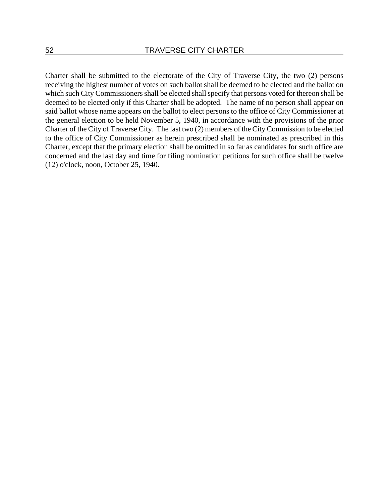Charter shall be submitted to the electorate of the City of Traverse City, the two (2) persons receiving the highest number of votes on such ballot shall be deemed to be elected and the ballot on which such City Commissioners shall be elected shall specify that persons voted for thereon shall be deemed to be elected only if this Charter shall be adopted. The name of no person shall appear on said ballot whose name appears on the ballot to elect persons to the office of City Commissioner at the general election to be held November 5, 1940, in accordance with the provisions of the prior Charter of the City of Traverse City. The last two (2) members of the City Commission to be elected to the office of City Commissioner as herein prescribed shall be nominated as prescribed in this Charter, except that the primary election shall be omitted in so far as candidates for such office are concerned and the last day and time for filing nomination petitions for such office shall be twelve (12) o'clock, noon, October 25, 1940.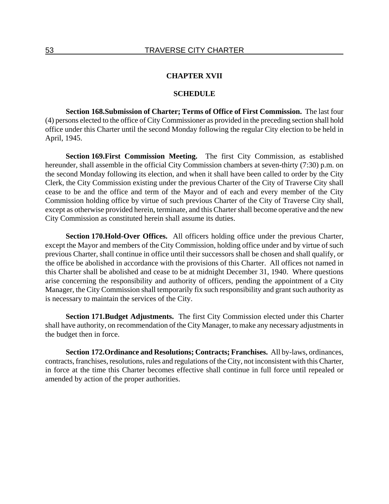### **CHAPTER XVII**

#### **SCHEDULE**

**Section 168. Submission of Charter; Terms of Office of First Commission.** The last four (4) persons elected to the office of City Commissioner as provided in the preceding section shall hold office under this Charter until the second Monday following the regular City election to be held in April, 1945.

**Section 169. First Commission Meeting.** The first City Commission, as established hereunder, shall assemble in the official City Commission chambers at seven-thirty (7:30) p.m. on the second Monday following its election, and when it shall have been called to order by the City Clerk, the City Commission existing under the previous Charter of the City of Traverse City shall cease to be and the office and term of the Mayor and of each and every member of the City Commission holding office by virtue of such previous Charter of the City of Traverse City shall, except as otherwise provided herein, terminate, and this Charter shall become operative and the new City Commission as constituted herein shall assume its duties.

**Section 170. Hold-Over Offices.** All officers holding office under the previous Charter, except the Mayor and members of the City Commission, holding office under and by virtue of such previous Charter, shall continue in office until their successors shall be chosen and shall qualify, or the office be abolished in accordance with the provisions of this Charter. All offices not named in this Charter shall be abolished and cease to be at midnight December 31, 1940. Where questions arise concerning the responsibility and authority of officers, pending the appointment of a City Manager, the City Commission shall temporarily fix such responsibility and grant such authority as is necessary to maintain the services of the City.

**Section 171. Budget Adjustments.** The first City Commission elected under this Charter shall have authority, on recommendation of the City Manager, to make any necessary adjustments in the budget then in force.

**Section 172. Ordinance and Resolutions; Contracts; Franchises.** All by-laws, ordinances, contracts, franchises, resolutions, rules and regulations of the City, not inconsistent with this Charter, in force at the time this Charter becomes effective shall continue in full force until repealed or amended by action of the proper authorities.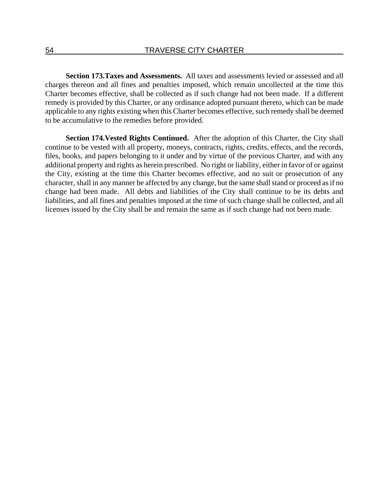**Section 173. Taxes and Assessments.** All taxes and assessments levied or assessed and all charges thereon and all fines and penalties imposed, which remain uncollected at the time this Charter becomes effective, shall be collected as if such change had not been made. If a different remedy is provided by this Charter, or any ordinance adopted pursuant thereto, which can be made applicable to any rights existing when this Charter becomes effective, such remedy shall be deemed to be accumulative to the remedies before provided.

**Section 174. Vested Rights Continued.** After the adoption of this Charter, the City shall continue to be vested with all property, moneys, contracts, rights, credits, effects, and the records, files, books, and papers belonging to it under and by virtue of the previous Charter, and with any additional property and rights as herein prescribed. No right or liability, either in favor of or against the City, existing at the time this Charter becomes effective, and no suit or prosecution of any character, shall in any manner be affected by any change, but the same shall stand or proceed as if no change had been made. All debts and liabilities of the City shall continue to be its debts and liabilities, and all fines and penalties imposed at the time of such change shall be collected, and all licenses issued by the City shall be and remain the same as if such change had not been made.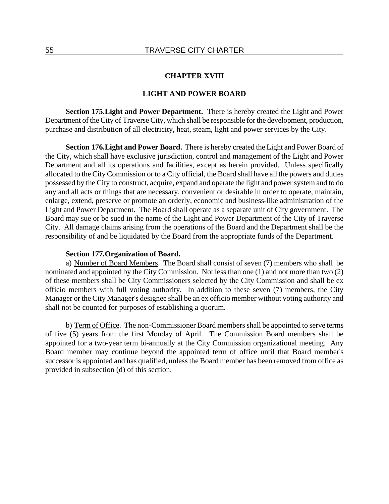### **CHAPTER XVIII**

## **LIGHT AND POWER BOARD**

**Section 175. Light and Power Department.** There is hereby created the Light and Power Department of the City of Traverse City, which shall be responsible for the development, production, purchase and distribution of all electricity, heat, steam, light and power services by the City.

**Section 176. Light and Power Board.** There is hereby created the Light and Power Board of the City, which shall have exclusive jurisdiction, control and management of the Light and Power Department and all its operations and facilities, except as herein provided. Unless specifically allocated to the City Commission or to a City official, the Board shall have all the powers and duties possessed by the City to construct, acquire, expand and operate the light and power system and to do any and all acts or things that are necessary, convenient or desirable in order to operate, maintain, enlarge, extend, preserve or promote an orderly, economic and business-like administration of the Light and Power Department. The Board shall operate as a separate unit of City government. The Board may sue or be sued in the name of the Light and Power Department of the City of Traverse City. All damage claims arising from the operations of the Board and the Department shall be the responsibility of and be liquidated by the Board from the appropriate funds of the Department.

#### **Section 177. Organization of Board.**

a) Number of Board Members. The Board shall consist of seven (7) members who shall be nominated and appointed by the City Commission. Not less than one (1) and not more than two (2) of these members shall be City Commissioners selected by the City Commission and shall be ex officio members with full voting authority. In addition to these seven (7) members, the City Manager or the City Manager's designee shall be an ex officio member without voting authority and shall not be counted for purposes of establishing a quorum.

b) Term of Office. The non-Commissioner Board members shall be appointed to serve terms of five (5) years from the first Monday of April. The Commission Board members shall be appointed for a two-year term bi-annually at the City Commission organizational meeting. Any Board member may continue beyond the appointed term of office until that Board member's successor is appointed and has qualified, unless the Board member has been removed from office as provided in subsection (d) of this section.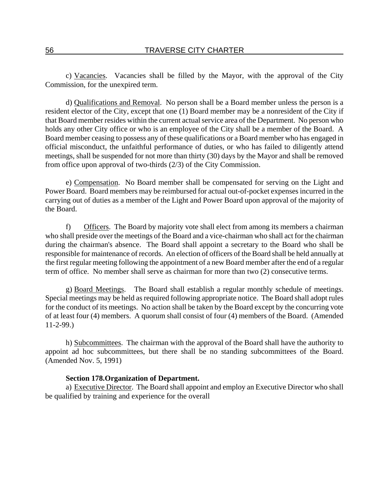c) Vacancies. Vacancies shall be filled by the Mayor, with the approval of the City Commission, for the unexpired term.

d) Qualifications and Removal. No person shall be a Board member unless the person is a resident elector of the City, except that one (1) Board member may be a nonresident of the City if that Board member resides within the current actual service area of the Department. No person who holds any other City office or who is an employee of the City shall be a member of the Board. A Board member ceasing to possess any of these qualifications or a Board member who has engaged in official misconduct, the unfaithful performance of duties, or who has failed to diligently attend meetings, shall be suspended for not more than thirty (30) days by the Mayor and shall be removed from office upon approval of two-thirds (2/3) of the City Commission.

e) Compensation. No Board member shall be compensated for serving on the Light and Power Board. Board members may be reimbursed for actual out-of-pocket expenses incurred in the carrying out of duties as a member of the Light and Power Board upon approval of the majority of the Board.

f) Officers. The Board by majority vote shall elect from among its members a chairman who shall preside over the meetings of the Board and a vice-chairman who shall act for the chairman during the chairman's absence. The Board shall appoint a secretary to the Board who shall be responsible for maintenance of records. An election of officers of the Board shall be held annually at the first regular meeting following the appointment of a new Board member after the end of a regular term of office. No member shall serve as chairman for more than two (2) consecutive terms.

g) Board Meetings. The Board shall establish a regular monthly schedule of meetings. Special meetings may be held as required following appropriate notice. The Board shall adopt rules for the conduct of its meetings. No action shall be taken by the Board except by the concurring vote of at least four (4) members. A quorum shall consist of four (4) members of the Board. (Amended 11-2-99.)

h) Subcommittees. The chairman with the approval of the Board shall have the authority to appoint ad hoc subcommittees, but there shall be no standing subcommittees of the Board. (Amended Nov. 5, 1991)

#### **Section 178. Organization of Department.**

a) Executive Director. The Board shall appoint and employ an Executive Director who shall be qualified by training and experience for the overall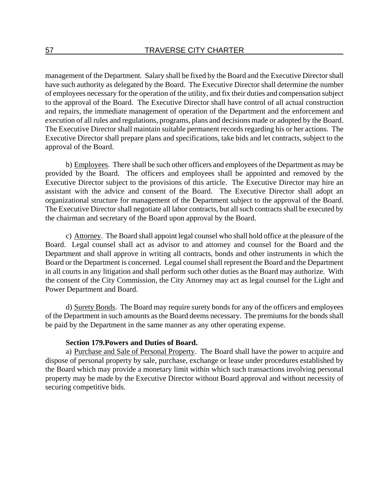management of the Department. Salary shall be fixed by the Board and the Executive Director shall have such authority as delegated by the Board. The Executive Director shall determine the number of employees necessary for the operation of the utility, and fix their duties and compensation subject to the approval of the Board. The Executive Director shall have control of all actual construction and repairs, the immediate management of operation of the Department and the enforcement and execution of all rules and regulations, programs, plans and decisions made or adopted by the Board. The Executive Director shall maintain suitable permanent records regarding his or her actions. The Executive Director shall prepare plans and specifications, take bids and let contracts, subject to the approval of the Board.

b) Employees. There shall be such other officers and employees of the Department as may be provided by the Board. The officers and employees shall be appointed and removed by the Executive Director subject to the provisions of this article. The Executive Director may hire an assistant with the advice and consent of the Board. The Executive Director shall adopt an organizational structure for management of the Department subject to the approval of the Board. The Executive Director shall negotiate all labor contracts, but all such contracts shall be executed by the chairman and secretary of the Board upon approval by the Board.

c) Attorney. The Board shall appoint legal counsel who shall hold office at the pleasure of the Board. Legal counsel shall act as advisor to and attorney and counsel for the Board and the Department and shall approve in writing all contracts, bonds and other instruments in which the Board or the Department is concerned. Legal counsel shall represent the Board and the Department in all courts in any litigation and shall perform such other duties as the Board may authorize. With the consent of the City Commission, the City Attorney may act as legal counsel for the Light and Power Department and Board.

d) Surety Bonds. The Board may require surety bonds for any of the officers and employees of the Department in such amounts as the Board deems necessary. The premiums for the bonds shall be paid by the Department in the same manner as any other operating expense.

## **Section 179. Powers and Duties of Board.**

a) Purchase and Sale of Personal Property. The Board shall have the power to acquire and dispose of personal property by sale, purchase, exchange or lease under procedures established by the Board which may provide a monetary limit within which such transactions involving personal property may be made by the Executive Director without Board approval and without necessity of securing competitive bids.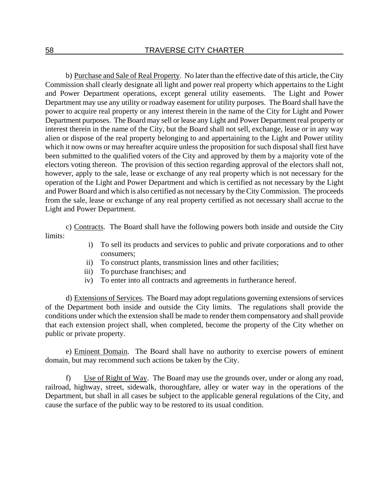b) Purchase and Sale of Real Property. No later than the effective date of this article, the City Commission shall clearly designate all light and power real property which appertains to the Light and Power Department operations, except general utility easements. The Light and Power Department may use any utility or roadway easement for utility purposes. The Board shall have the power to acquire real property or any interest therein in the name of the City for Light and Power Department purposes. The Board may sell or lease any Light and Power Department real property or interest therein in the name of the City, but the Board shall not sell, exchange, lease or in any way alien or dispose of the real property belonging to and appertaining to the Light and Power utility which it now owns or may hereafter acquire unless the proposition for such disposal shall first have been submitted to the qualified voters of the City and approved by them by a majority vote of the electors voting thereon. The provision of this section regarding approval of the electors shall not, however, apply to the sale, lease or exchange of any real property which is not necessary for the operation of the Light and Power Department and which is certified as not necessary by the Light and Power Board and which is also certified as not necessary by the City Commission. The proceeds from the sale, lease or exchange of any real property certified as not necessary shall accrue to the Light and Power Department.

c) Contracts. The Board shall have the following powers both inside and outside the City limits:

- i) To sell its products and services to public and private corporations and to other consumers;
- ii) To construct plants, transmission lines and other facilities;
- iii) To purchase franchises; and
- iv) To enter into all contracts and agreements in furtherance hereof.

d) Extensions of Services. The Board may adopt regulations governing extensions of services of the Department both inside and outside the City limits. The regulations shall provide the conditions under which the extension shall be made to render them compensatory and shall provide that each extension project shall, when completed, become the property of the City whether on public or private property.

e) Eminent Domain. The Board shall have no authority to exercise powers of eminent domain, but may recommend such actions be taken by the City.

f) Use of Right of Way. The Board may use the grounds over, under or along any road, railroad, highway, street, sidewalk, thoroughfare, alley or water way in the operations of the Department, but shall in all cases be subject to the applicable general regulations of the City, and cause the surface of the public way to be restored to its usual condition.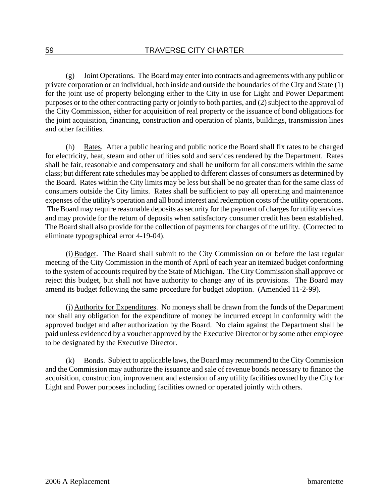(g) Joint Operations. The Board may enter into contracts and agreements with any public or private corporation or an individual, both inside and outside the boundaries of the City and State (1) for the joint use of property belonging either to the City in use for Light and Power Department purposes or to the other contracting party or jointly to both parties, and (2) subject to the approval of the City Commission, either for acquisition of real property or the issuance of bond obligations for the joint acquisition, financing, construction and operation of plants, buildings, transmission lines and other facilities.

(h) Rates. After a public hearing and public notice the Board shall fix rates to be charged for electricity, heat, steam and other utilities sold and services rendered by the Department. Rates shall be fair, reasonable and compensatory and shall be uniform for all consumers within the same class; but different rate schedules may be applied to different classes of consumers as determined by the Board. Rates within the City limits may be less but shall be no greater than for the same class of consumers outside the City limits. Rates shall be sufficient to pay all operating and maintenance expenses of the utility's operation and all bond interest and redemption costs of the utility operations. The Board may require reasonable deposits as security for the payment of charges for utility services and may provide for the return of deposits when satisfactory consumer credit has been established. The Board shall also provide for the collection of payments for charges of the utility. (Corrected to eliminate typographical error 4-19-04).

(i) Budget. The Board shall submit to the City Commission on or before the last regular meeting of the City Commission in the month of April of each year an itemized budget conforming to the system of accounts required by the State of Michigan. The City Commission shall approve or reject this budget, but shall not have authority to change any of its provisions. The Board may amend its budget following the same procedure for budget adoption. (Amended 11-2-99).

(j) Authority for Expenditures. No moneys shall be drawn from the funds of the Department nor shall any obligation for the expenditure of money be incurred except in conformity with the approved budget and after authorization by the Board. No claim against the Department shall be paid unless evidenced by a voucher approved by the Executive Director or by some other employee to be designated by the Executive Director.

(k) Bonds. Subject to applicable laws, the Board may recommend to the City Commission and the Commission may authorize the issuance and sale of revenue bonds necessary to finance the acquisition, construction, improvement and extension of any utility facilities owned by the City for Light and Power purposes including facilities owned or operated jointly with others.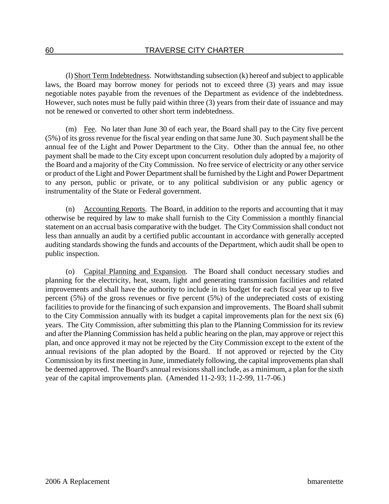(l) Short Term Indebtedness. Notwithstanding subsection (k) hereof and subject to applicable laws, the Board may borrow money for periods not to exceed three (3) years and may issue negotiable notes payable from the revenues of the Department as evidence of the indebtedness. However, such notes must be fully paid within three (3) years from their date of issuance and may not be renewed or converted to other short term indebtedness.

(m) Fee. No later than June 30 of each year, the Board shall pay to the City five percent (5%) of its gross revenue for the fiscal year ending on that same June 30. Such payment shall be the annual fee of the Light and Power Department to the City. Other than the annual fee, no other payment shall be made to the City except upon concurrent resolution duly adopted by a majority of the Board and a majority of the City Commission. No free service of electricity or any other service or product of the Light and Power Department shall be furnished by the Light and Power Department to any person, public or private, or to any political subdivision or any public agency or instrumentality of the State or Federal government.

(n) Accounting Reports. The Board, in addition to the reports and accounting that it may otherwise be required by law to make shall furnish to the City Commission a monthly financial statement on an accrual basis comparative with the budget. The City Commission shall conduct not less than annually an audit by a certified public accountant in accordance with generally accepted auditing standards showing the funds and accounts of the Department, which audit shall be open to public inspection.

(o) Capital Planning and Expansion. The Board shall conduct necessary studies and planning for the electricity, heat, steam, light and generating transmission facilities and related improvements and shall have the authority to include in its budget for each fiscal year up to five percent (5%) of the gross revenues or five percent (5%) of the undepreciated costs of existing facilities to provide for the financing of such expansion and improvements. The Board shall submit to the City Commission annually with its budget a capital improvements plan for the next six (6) years. The City Commission, after submitting this plan to the Planning Commission for its review and after the Planning Commission has held a public hearing on the plan, may approve or reject this plan, and once approved it may not be rejected by the City Commission except to the extent of the annual revisions of the plan adopted by the Board. If not approved or rejected by the City Commission by its first meeting in June, immediately following, the capital improvements plan shall be deemed approved. The Board's annual revisions shall include, as a minimum, a plan for the sixth year of the capital improvements plan. (Amended 11-2-93; 11-2-99, 11-7-06.)